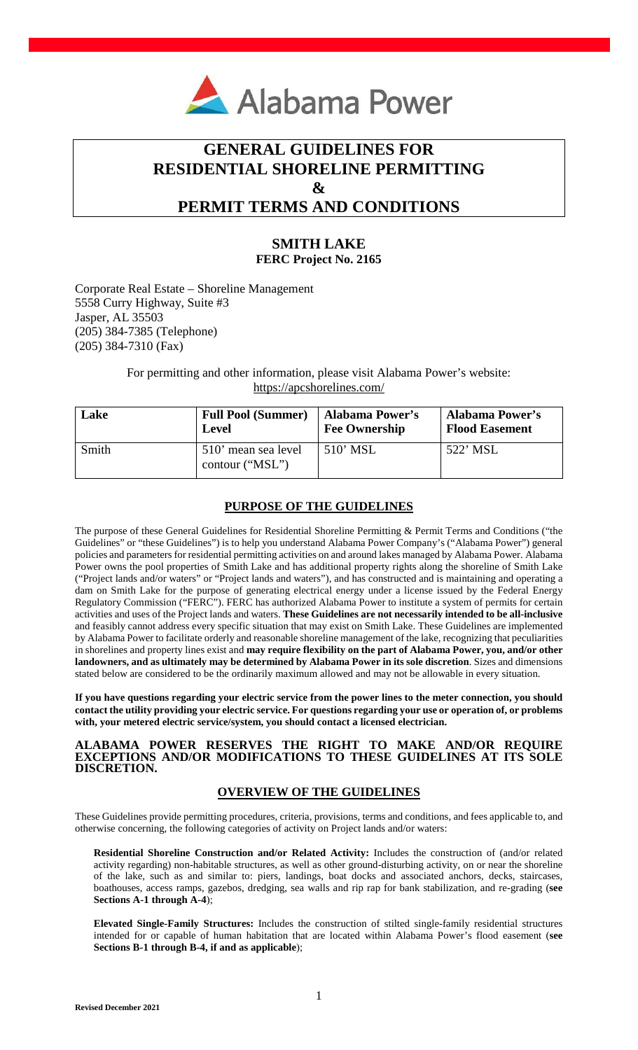

# **GENERAL GUIDELINES FOR RESIDENTIAL SHORELINE PERMITTING & PERMIT TERMS AND CONDITIONS**

# **SMITH LAKE FERC Project No. 2165**

Corporate Real Estate – Shoreline Management 5558 Curry Highway, Suite #3 Jasper, AL 35503 (205) 384-7385 (Telephone) (205) 384-7310 (Fax)

> For permitting and other information, please visit Alabama Power's website: https://apcshorelines.com/

| Lake  | <b>Full Pool (Summer)</b>              | <b>Alabama Power's</b> | <b>Alabama Power's</b> |
|-------|----------------------------------------|------------------------|------------------------|
|       | <b>Level</b>                           | <b>Fee Ownership</b>   | <b>Flood Easement</b>  |
| Smith | 510' mean sea level<br>contour ("MSL") | $510'$ MSL             | 522' MSL               |

# **PURPOSE OF THE GUIDELINES**

The purpose of these General Guidelines for Residential Shoreline Permitting & Permit Terms and Conditions ("the Guidelines" or "these Guidelines") is to help you understand Alabama Power Company's ("Alabama Power") general policies and parameters for residential permitting activities on and around lakes managed by Alabama Power. Alabama Power owns the pool properties of Smith Lake and has additional property rights along the shoreline of Smith Lake ("Project lands and/or waters" or "Project lands and waters"), and has constructed and is maintaining and operating a dam on Smith Lake for the purpose of generating electrical energy under a license issued by the Federal Energy Regulatory Commission ("FERC"). FERC has authorized Alabama Power to institute a system of permits for certain activities and uses of the Project lands and waters. **These Guidelines are not necessarily intended to be all-inclusive**  and feasibly cannot address every specific situation that may exist on Smith Lake. These Guidelines are implemented by Alabama Power to facilitate orderly and reasonable shoreline management of the lake, recognizing that peculiarities in shorelines and property lines exist and **may require flexibility on the part of Alabama Power, you, and/or other landowners, and as ultimately may be determined by Alabama Power in its sole discretion**. Sizes and dimensions stated below are considered to be the ordinarily maximum allowed and may not be allowable in every situation.

**If you have questions regarding your electric service from the power lines to the meter connection, you should contact the utility providing your electric service. For questions regarding your use or operation of, or problems with, your metered electric service/system, you should contact a licensed electrician.** 

### **ALABAMA POWER RESERVES THE RIGHT TO MAKE AND/OR REQUIRE EXCEPTIONS AND/OR MODIFICATIONS TO THESE GUIDELINES AT ITS SOLE DISCRETION.**

# **OVERVIEW OF THE GUIDELINES**

These Guidelines provide permitting procedures, criteria, provisions, terms and conditions, and fees applicable to, and otherwise concerning, the following categories of activity on Project lands and/or waters:

**Residential Shoreline Construction and/or Related Activity:** Includes the construction of (and/or related activity regarding) non-habitable structures, as well as other ground-disturbing activity, on or near the shoreline of the lake, such as and similar to: piers, landings, boat docks and associated anchors, decks, staircases, boathouses, access ramps, gazebos, dredging, sea walls and rip rap for bank stabilization, and re-grading (**see Sections A-1 through A-4**);

**Elevated Single-Family Structures:** Includes the construction of stilted single-family residential structures intended for or capable of human habitation that are located within Alabama Power's flood easement (**see Sections B-1 through B-4, if and as applicable**);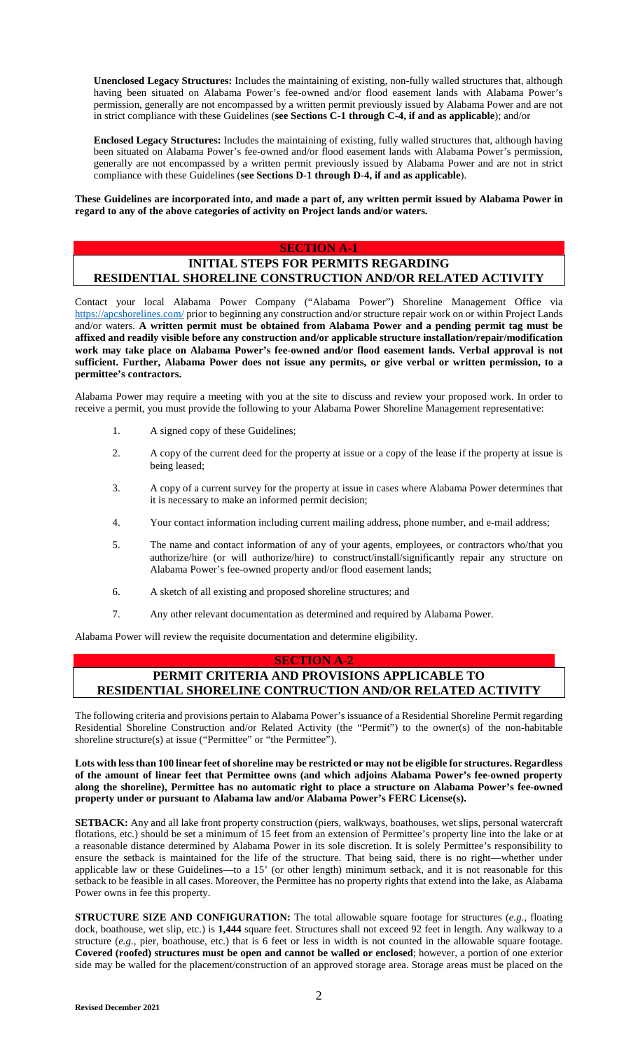**Unenclosed Legacy Structures:** Includes the maintaining of existing, non-fully walled structures that, although having been situated on Alabama Power's fee-owned and/or flood easement lands with Alabama Power's permission, generally are not encompassed by a written permit previously issued by Alabama Power and are not in strict compliance with these Guidelines (**see Sections C-1 through C-4, if and as applicable**); and/or

**Enclosed Legacy Structures:** Includes the maintaining of existing, fully walled structures that, although having been situated on Alabama Power's fee-owned and/or flood easement lands with Alabama Power's permission, generally are not encompassed by a written permit previously issued by Alabama Power and are not in strict compliance with these Guidelines (**see Sections D-1 through D-4, if and as applicable**).

**These Guidelines are incorporated into, and made a part of, any written permit issued by Alabama Power in regard to any of the above categories of activity on Project lands and/or waters.** 

### **SECTION A-1**

# **INITIAL STEPS FOR PERMITS REGARDING RESIDENTIAL SHORELINE CONSTRUCTION AND/OR RELATED ACTIVITY**

Contact your local Alabama Power Company ("Alabama Power") Shoreline Management Office via https://apcshorelines.com/ prior to beginning any construction and/or structure repair work on or within Project Lands and/or waters. **A written permit must be obtained from Alabama Power and a pending permit tag must be affixed and readily visible before any construction and/or applicable structure installation/repair/modification work may take place on Alabama Power's fee-owned and/or flood easement lands. Verbal approval is not sufficient. Further, Alabama Power does not issue any permits, or give verbal or written permission, to a permittee's contractors.**

Alabama Power may require a meeting with you at the site to discuss and review your proposed work. In order to receive a permit, you must provide the following to your Alabama Power Shoreline Management representative:

- 1. A signed copy of these Guidelines;
- 2. A copy of the current deed for the property at issue or a copy of the lease if the property at issue is being leased;
- 3. A copy of a current survey for the property at issue in cases where Alabama Power determines that it is necessary to make an informed permit decision;
- 4. Your contact information including current mailing address, phone number, and e-mail address;
- 5. The name and contact information of any of your agents, employees, or contractors who/that you authorize/hire (or will authorize/hire) to construct/install/significantly repair any structure on Alabama Power's fee-owned property and/or flood easement lands;
- 6. A sketch of all existing and proposed shoreline structures; and
- 7. Any other relevant documentation as determined and required by Alabama Power.

Alabama Power will review the requisite documentation and determine eligibility.

### **SECTION A-2**

# **PERMIT CRITERIA AND PROVISIONS APPLICABLE TO RESIDENTIAL SHORELINE CONTRUCTION AND/OR RELATED ACTIVITY**

The following criteria and provisions pertain to Alabama Power's issuance of a Residential Shoreline Permit regarding Residential Shoreline Construction and/or Related Activity (the "Permit") to the owner(s) of the non-habitable shoreline structure(s) at issue ("Permittee" or "the Permittee").

**Lots with less than 100 linear feet of shoreline may be restricted or may not be eligible for structures. Regardless of the amount of linear feet that Permittee owns (and which adjoins Alabama Power's fee-owned property along the shoreline), Permittee has no automatic right to place a structure on Alabama Power's fee-owned property under or pursuant to Alabama law and/or Alabama Power's FERC License(s).** 

**SETBACK:** Any and all lake front property construction (piers, walkways, boathouses, wet slips, personal watercraft flotations, etc.) should be set a minimum of 15 feet from an extension of Permittee's property line into the lake or at a reasonable distance determined by Alabama Power in its sole discretion. It is solely Permittee's responsibility to ensure the setback is maintained for the life of the structure. That being said, there is no right—whether under applicable law or these Guidelines—to a 15' (or other length) minimum setback, and it is not reasonable for this setback to be feasible in all cases. Moreover, the Permittee has no property rights that extend into the lake, as Alabama Power owns in fee this property.

**STRUCTURE SIZE AND CONFIGURATION:** The total allowable square footage for structures (e.g., floating dock, boathouse, wet slip, etc.) is **1,444** square feet. Structures shall not exceed 92 feet in length. Any walkway to a structure (*e.g.*, pier, boathouse, etc.) that is 6 feet or less in width is not counted in the allowable square footage. **Covered (roofed) structures must be open and cannot be walled or enclosed**; however, a portion of one exterior side may be walled for the placement/construction of an approved storage area. Storage areas must be placed on the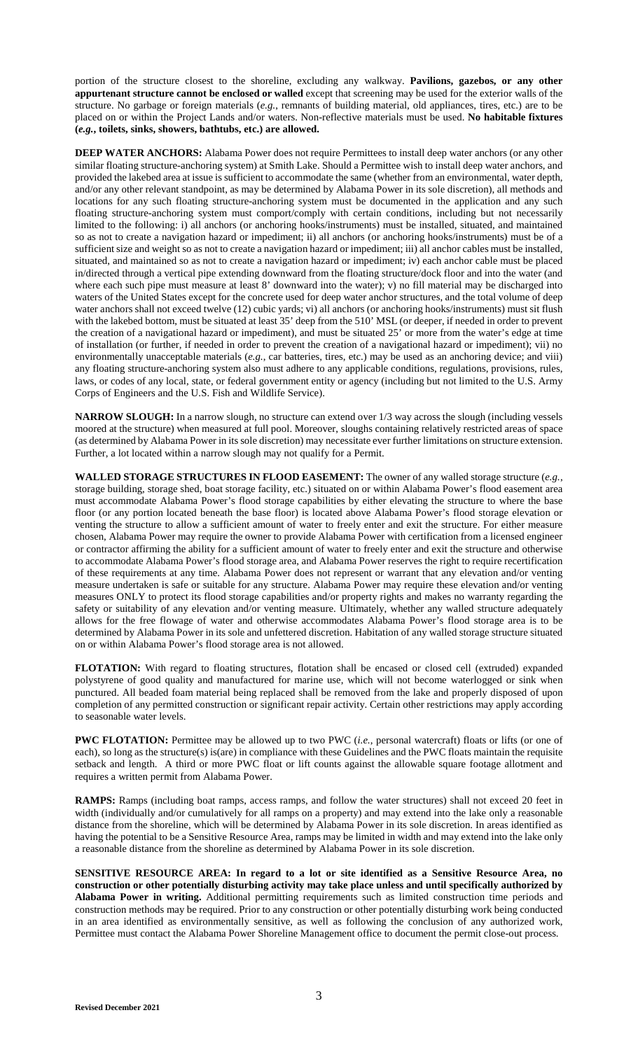portion of the structure closest to the shoreline, excluding any walkway. **Pavilions, gazebos, or any other appurtenant structure cannot be enclosed or walled** except that screening may be used for the exterior walls of the structure. No garbage or foreign materials (*e.g.*, remnants of building material, old appliances, tires, etc.) are to be placed on or within the Project Lands and/or waters. Non-reflective materials must be used. **No habitable fixtures (***e.g.***, toilets, sinks, showers, bathtubs, etc.) are allowed.** 

**DEEP WATER ANCHORS:** Alabama Power does not require Permittees to install deep water anchors (or any other similar floating structure-anchoring system) at Smith Lake. Should a Permittee wish to install deep water anchors, and provided the lakebed area at issue is sufficient to accommodate the same (whether from an environmental, water depth, and/or any other relevant standpoint, as may be determined by Alabama Power in its sole discretion), all methods and locations for any such floating structure-anchoring system must be documented in the application and any such floating structure-anchoring system must comport/comply with certain conditions, including but not necessarily limited to the following: i) all anchors (or anchoring hooks/instruments) must be installed, situated, and maintained so as not to create a navigation hazard or impediment; ii) all anchors (or anchoring hooks/instruments) must be of a sufficient size and weight so as not to create a navigation hazard or impediment; iii) all anchor cables must be installed, situated, and maintained so as not to create a navigation hazard or impediment; iv) each anchor cable must be placed in/directed through a vertical pipe extending downward from the floating structure/dock floor and into the water (and where each such pipe must measure at least 8' downward into the water); v) no fill material may be discharged into waters of the United States except for the concrete used for deep water anchor structures, and the total volume of deep water anchors shall not exceed twelve (12) cubic yards; vi) all anchors (or anchoring hooks/instruments) must sit flush with the lakebed bottom, must be situated at least 35' deep from the 510' MSL (or deeper, if needed in order to prevent the creation of a navigational hazard or impediment), and must be situated 25' or more from the water's edge at time of installation (or further, if needed in order to prevent the creation of a navigational hazard or impediment); vii) no environmentally unacceptable materials (*e.g.*, car batteries, tires, etc.) may be used as an anchoring device; and viii) any floating structure-anchoring system also must adhere to any applicable conditions, regulations, provisions, rules, laws, or codes of any local, state, or federal government entity or agency (including but not limited to the U.S. Army Corps of Engineers and the U.S. Fish and Wildlife Service).

**NARROW SLOUGH:** In a narrow slough, no structure can extend over 1/3 way across the slough (including vessels moored at the structure) when measured at full pool. Moreover, sloughs containing relatively restricted areas of space (as determined by Alabama Power in its sole discretion) may necessitate ever further limitations on structure extension. Further, a lot located within a narrow slough may not qualify for a Permit.

**WALLED STORAGE STRUCTURES IN FLOOD EASEMENT:** The owner of any walled storage structure (*e.g.*, storage building, storage shed, boat storage facility, etc.) situated on or within Alabama Power's flood easement area must accommodate Alabama Power's flood storage capabilities by either elevating the structure to where the base floor (or any portion located beneath the base floor) is located above Alabama Power's flood storage elevation or venting the structure to allow a sufficient amount of water to freely enter and exit the structure. For either measure chosen, Alabama Power may require the owner to provide Alabama Power with certification from a licensed engineer or contractor affirming the ability for a sufficient amount of water to freely enter and exit the structure and otherwise to accommodate Alabama Power's flood storage area, and Alabama Power reserves the right to require recertification of these requirements at any time. Alabama Power does not represent or warrant that any elevation and/or venting measure undertaken is safe or suitable for any structure. Alabama Power may require these elevation and/or venting measures ONLY to protect its flood storage capabilities and/or property rights and makes no warranty regarding the safety or suitability of any elevation and/or venting measure. Ultimately, whether any walled structure adequately allows for the free flowage of water and otherwise accommodates Alabama Power's flood storage area is to be determined by Alabama Power in its sole and unfettered discretion. Habitation of any walled storage structure situated on or within Alabama Power's flood storage area is not allowed.

**FLOTATION:** With regard to floating structures, flotation shall be encased or closed cell (extruded) expanded polystyrene of good quality and manufactured for marine use, which will not become waterlogged or sink when punctured. All beaded foam material being replaced shall be removed from the lake and properly disposed of upon completion of any permitted construction or significant repair activity. Certain other restrictions may apply according to seasonable water levels.

PWC FLOTATION: Permittee may be allowed up to two PWC (*i.e.*, personal watercraft) floats or lifts (or one of each), so long as the structure(s) is(are) in compliance with these Guidelines and the PWC floats maintain the requisite setback and length. A third or more PWC float or lift counts against the allowable square footage allotment and requires a written permit from Alabama Power.

**RAMPS:** Ramps (including boat ramps, access ramps, and follow the water structures) shall not exceed 20 feet in width (individually and/or cumulatively for all ramps on a property) and may extend into the lake only a reasonable distance from the shoreline, which will be determined by Alabama Power in its sole discretion. In areas identified as having the potential to be a Sensitive Resource Area, ramps may be limited in width and may extend into the lake only a reasonable distance from the shoreline as determined by Alabama Power in its sole discretion.

**SENSITIVE RESOURCE AREA: In regard to a lot or site identified as a Sensitive Resource Area, no construction or other potentially disturbing activity may take place unless and until specifically authorized by Alabama Power in writing.** Additional permitting requirements such as limited construction time periods and construction methods may be required. Prior to any construction or other potentially disturbing work being conducted in an area identified as environmentally sensitive, as well as following the conclusion of any authorized work, Permittee must contact the Alabama Power Shoreline Management office to document the permit close-out process.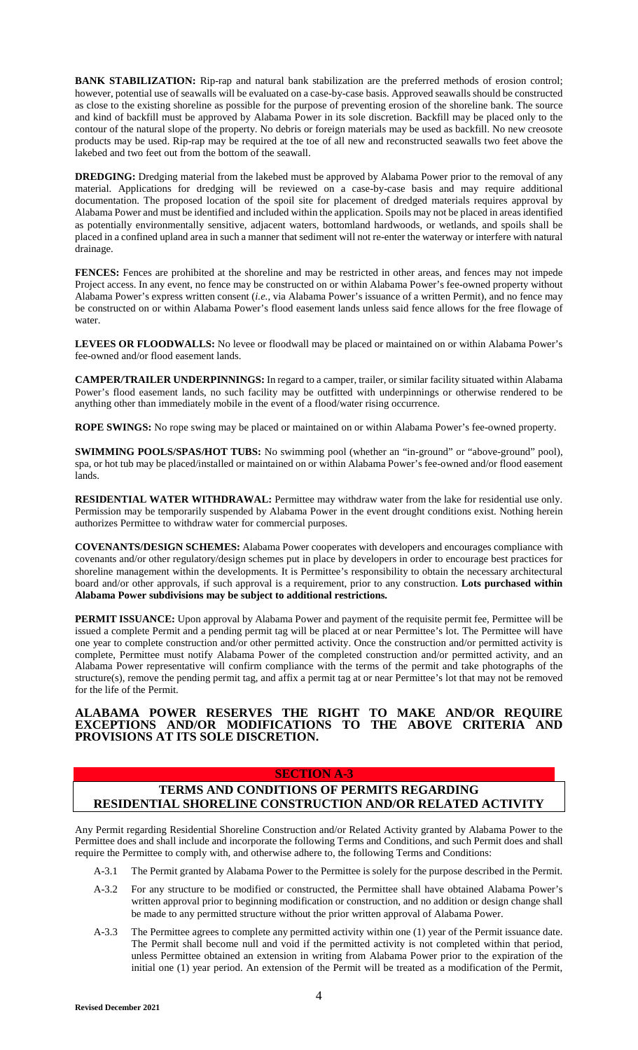**BANK STABILIZATION:** Rip-rap and natural bank stabilization are the preferred methods of erosion control; however, potential use of seawalls will be evaluated on a case-by-case basis. Approved seawalls should be constructed as close to the existing shoreline as possible for the purpose of preventing erosion of the shoreline bank. The source and kind of backfill must be approved by Alabama Power in its sole discretion. Backfill may be placed only to the contour of the natural slope of the property. No debris or foreign materials may be used as backfill. No new creosote products may be used. Rip-rap may be required at the toe of all new and reconstructed seawalls two feet above the lakebed and two feet out from the bottom of the seawall.

**DREDGING:** Dredging material from the lakebed must be approved by Alabama Power prior to the removal of any material. Applications for dredging will be reviewed on a case-by-case basis and may require additional documentation. The proposed location of the spoil site for placement of dredged materials requires approval by Alabama Power and must be identified and included within the application. Spoils may not be placed in areas identified as potentially environmentally sensitive, adjacent waters, bottomland hardwoods, or wetlands, and spoils shall be placed in a confined upland area in such a manner that sediment will not re-enter the waterway or interfere with natural drainage.

FENCES: Fences are prohibited at the shoreline and may be restricted in other areas, and fences may not impede Project access. In any event, no fence may be constructed on or within Alabama Power's fee-owned property without Alabama Power's express written consent (*i.e.*, via Alabama Power's issuance of a written Permit), and no fence may be constructed on or within Alabama Power's flood easement lands unless said fence allows for the free flowage of water.

**LEVEES OR FLOODWALLS:** No levee or floodwall may be placed or maintained on or within Alabama Power's fee-owned and/or flood easement lands.

**CAMPER/TRAILER UNDERPINNINGS:** In regard to a camper, trailer, or similar facility situated within Alabama Power's flood easement lands, no such facility may be outfitted with underpinnings or otherwise rendered to be anything other than immediately mobile in the event of a flood/water rising occurrence.

**ROPE SWINGS:** No rope swing may be placed or maintained on or within Alabama Power's fee-owned property.

**SWIMMING POOLS/SPAS/HOT TUBS:** No swimming pool (whether an "in-ground" or "above-ground" pool), spa, or hot tub may be placed/installed or maintained on or within Alabama Power's fee-owned and/or flood easement lands.

**RESIDENTIAL WATER WITHDRAWAL:** Permittee may withdraw water from the lake for residential use only. Permission may be temporarily suspended by Alabama Power in the event drought conditions exist. Nothing herein authorizes Permittee to withdraw water for commercial purposes.

**COVENANTS/DESIGN SCHEMES:** Alabama Power cooperates with developers and encourages compliance with covenants and/or other regulatory/design schemes put in place by developers in order to encourage best practices for shoreline management within the developments. It is Permittee's responsibility to obtain the necessary architectural board and/or other approvals, if such approval is a requirement, prior to any construction. **Lots purchased within Alabama Power subdivisions may be subject to additional restrictions.**

**PERMIT ISSUANCE:** Upon approval by Alabama Power and payment of the requisite permit fee, Permittee will be issued a complete Permit and a pending permit tag will be placed at or near Permittee's lot. The Permittee will have one year to complete construction and/or other permitted activity. Once the construction and/or permitted activity is complete, Permittee must notify Alabama Power of the completed construction and/or permitted activity, and an Alabama Power representative will confirm compliance with the terms of the permit and take photographs of the structure(s), remove the pending permit tag, and affix a permit tag at or near Permittee's lot that may not be removed for the life of the Permit.

### **ALABAMA POWER RESERVES THE RIGHT TO MAKE AND/OR REQUIRE EXCEPTIONS AND/OR MODIFICATIONS TO THE ABOVE CRITERIA AND PROVISIONS AT ITS SOLE DISCRETION.**

### **SECTION A-3**

# **TERMS AND CONDITIONS OF PERMITS REGARDING RESIDENTIAL SHORELINE CONSTRUCTION AND/OR RELATED ACTIVITY**

Any Permit regarding Residential Shoreline Construction and/or Related Activity granted by Alabama Power to the Permittee does and shall include and incorporate the following Terms and Conditions, and such Permit does and shall require the Permittee to comply with, and otherwise adhere to, the following Terms and Conditions:

- A-3.1 The Permit granted by Alabama Power to the Permittee is solely for the purpose described in the Permit.
- A-3.2 For any structure to be modified or constructed, the Permittee shall have obtained Alabama Power's written approval prior to beginning modification or construction, and no addition or design change shall be made to any permitted structure without the prior written approval of Alabama Power.
- A-3.3 The Permittee agrees to complete any permitted activity within one (1) year of the Permit issuance date. The Permit shall become null and void if the permitted activity is not completed within that period, unless Permittee obtained an extension in writing from Alabama Power prior to the expiration of the initial one (1) year period. An extension of the Permit will be treated as a modification of the Permit,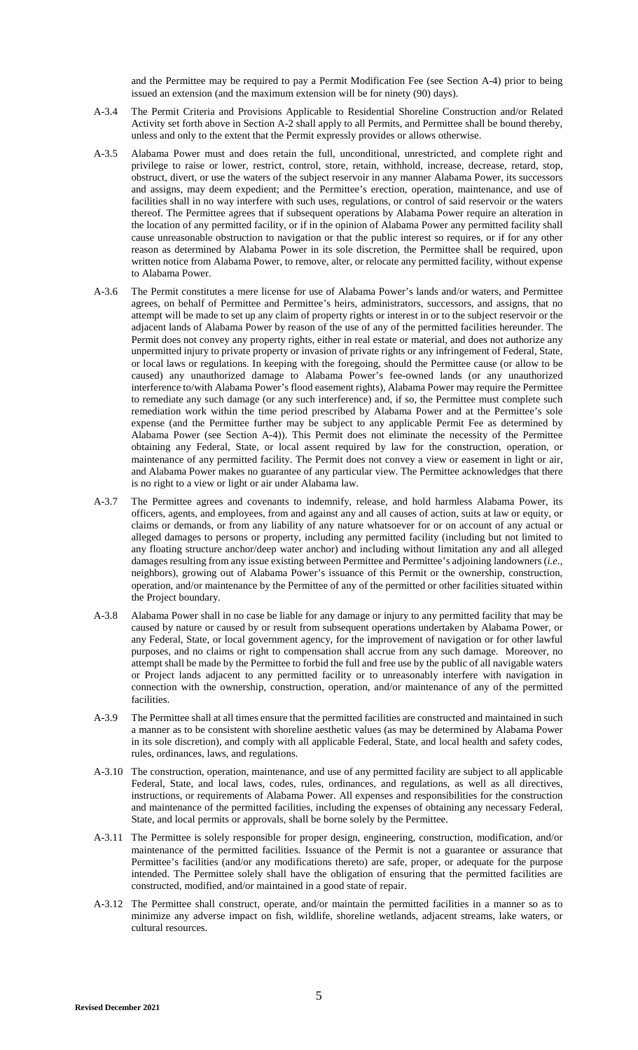and the Permittee may be required to pay a Permit Modification Fee (see Section A-4) prior to being issued an extension (and the maximum extension will be for ninety (90) days).

- A-3.4 The Permit Criteria and Provisions Applicable to Residential Shoreline Construction and/or Related Activity set forth above in Section A-2 shall apply to all Permits, and Permittee shall be bound thereby, unless and only to the extent that the Permit expressly provides or allows otherwise.
- A-3.5 Alabama Power must and does retain the full, unconditional, unrestricted, and complete right and privilege to raise or lower, restrict, control, store, retain, withhold, increase, decrease, retard, stop, obstruct, divert, or use the waters of the subject reservoir in any manner Alabama Power, its successors and assigns, may deem expedient; and the Permittee's erection, operation, maintenance, and use of facilities shall in no way interfere with such uses, regulations, or control of said reservoir or the waters thereof. The Permittee agrees that if subsequent operations by Alabama Power require an alteration in the location of any permitted facility, or if in the opinion of Alabama Power any permitted facility shall cause unreasonable obstruction to navigation or that the public interest so requires, or if for any other reason as determined by Alabama Power in its sole discretion, the Permittee shall be required, upon written notice from Alabama Power, to remove, alter, or relocate any permitted facility, without expense to Alabama Power.
- A-3.6 The Permit constitutes a mere license for use of Alabama Power's lands and/or waters, and Permittee agrees, on behalf of Permittee and Permittee's heirs, administrators, successors, and assigns, that no attempt will be made to set up any claim of property rights or interest in or to the subject reservoir or the adjacent lands of Alabama Power by reason of the use of any of the permitted facilities hereunder. The Permit does not convey any property rights, either in real estate or material, and does not authorize any unpermitted injury to private property or invasion of private rights or any infringement of Federal, State, or local laws or regulations. In keeping with the foregoing, should the Permittee cause (or allow to be caused) any unauthorized damage to Alabama Power's fee-owned lands (or any unauthorized interference to/with Alabama Power's flood easement rights), Alabama Power may require the Permittee to remediate any such damage (or any such interference) and, if so, the Permittee must complete such remediation work within the time period prescribed by Alabama Power and at the Permittee's sole expense (and the Permittee further may be subject to any applicable Permit Fee as determined by Alabama Power (see Section A-4)). This Permit does not eliminate the necessity of the Permittee obtaining any Federal, State, or local assent required by law for the construction, operation, or maintenance of any permitted facility. The Permit does not convey a view or easement in light or air, and Alabama Power makes no guarantee of any particular view. The Permittee acknowledges that there is no right to a view or light or air under Alabama law.
- A-3.7 The Permittee agrees and covenants to indemnify, release, and hold harmless Alabama Power, its officers, agents, and employees, from and against any and all causes of action, suits at law or equity, or claims or demands, or from any liability of any nature whatsoever for or on account of any actual or alleged damages to persons or property, including any permitted facility (including but not limited to any floating structure anchor/deep water anchor) and including without limitation any and all alleged damages resulting from any issue existing between Permittee and Permittee's adjoining landowners (*i.e.*, neighbors), growing out of Alabama Power's issuance of this Permit or the ownership, construction, operation, and/or maintenance by the Permittee of any of the permitted or other facilities situated within the Project boundary.
- A-3.8 Alabama Power shall in no case be liable for any damage or injury to any permitted facility that may be caused by nature or caused by or result from subsequent operations undertaken by Alabama Power, or any Federal, State, or local government agency, for the improvement of navigation or for other lawful purposes, and no claims or right to compensation shall accrue from any such damage. Moreover, no attempt shall be made by the Permittee to forbid the full and free use by the public of all navigable waters or Project lands adjacent to any permitted facility or to unreasonably interfere with navigation in connection with the ownership, construction, operation, and/or maintenance of any of the permitted facilities.
- A-3.9 The Permittee shall at all times ensure that the permitted facilities are constructed and maintained in such a manner as to be consistent with shoreline aesthetic values (as may be determined by Alabama Power in its sole discretion), and comply with all applicable Federal, State, and local health and safety codes, rules, ordinances, laws, and regulations.
- A-3.10 The construction, operation, maintenance, and use of any permitted facility are subject to all applicable Federal, State, and local laws, codes, rules, ordinances, and regulations, as well as all directives, instructions, or requirements of Alabama Power. All expenses and responsibilities for the construction and maintenance of the permitted facilities, including the expenses of obtaining any necessary Federal, State, and local permits or approvals, shall be borne solely by the Permittee.
- A-3.11 The Permittee is solely responsible for proper design, engineering, construction, modification, and/or maintenance of the permitted facilities. Issuance of the Permit is not a guarantee or assurance that Permittee's facilities (and/or any modifications thereto) are safe, proper, or adequate for the purpose intended. The Permittee solely shall have the obligation of ensuring that the permitted facilities are constructed, modified, and/or maintained in a good state of repair.
- A-3.12 The Permittee shall construct, operate, and/or maintain the permitted facilities in a manner so as to minimize any adverse impact on fish, wildlife, shoreline wetlands, adjacent streams, lake waters, or cultural resources.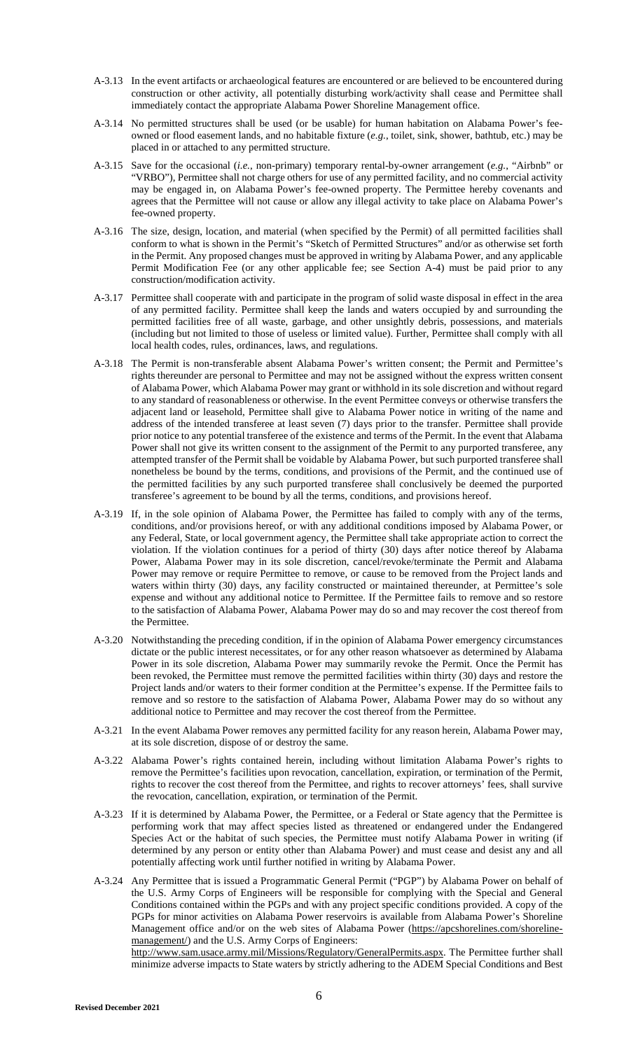- A-3.13 In the event artifacts or archaeological features are encountered or are believed to be encountered during construction or other activity, all potentially disturbing work/activity shall cease and Permittee shall immediately contact the appropriate Alabama Power Shoreline Management office.
- A-3.14 No permitted structures shall be used (or be usable) for human habitation on Alabama Power's feeowned or flood easement lands, and no habitable fixture (*e.g.*, toilet, sink, shower, bathtub, etc.) may be placed in or attached to any permitted structure.
- A-3.15 Save for the occasional (*i.e.*, non-primary) temporary rental-by-owner arrangement (*e.g.*, "Airbnb" or "VRBO"), Permittee shall not charge others for use of any permitted facility, and no commercial activity may be engaged in, on Alabama Power's fee-owned property. The Permittee hereby covenants and agrees that the Permittee will not cause or allow any illegal activity to take place on Alabama Power's fee-owned property.
- A-3.16 The size, design, location, and material (when specified by the Permit) of all permitted facilities shall conform to what is shown in the Permit's "Sketch of Permitted Structures" and/or as otherwise set forth in the Permit. Any proposed changes must be approved in writing by Alabama Power, and any applicable Permit Modification Fee (or any other applicable fee; see Section A-4) must be paid prior to any construction/modification activity.
- A-3.17 Permittee shall cooperate with and participate in the program of solid waste disposal in effect in the area of any permitted facility. Permittee shall keep the lands and waters occupied by and surrounding the permitted facilities free of all waste, garbage, and other unsightly debris, possessions, and materials (including but not limited to those of useless or limited value). Further, Permittee shall comply with all local health codes, rules, ordinances, laws, and regulations.
- A-3.18 The Permit is non-transferable absent Alabama Power's written consent; the Permit and Permittee's rights thereunder are personal to Permittee and may not be assigned without the express written consent of Alabama Power, which Alabama Power may grant or withhold in its sole discretion and without regard to any standard of reasonableness or otherwise. In the event Permittee conveys or otherwise transfers the adjacent land or leasehold, Permittee shall give to Alabama Power notice in writing of the name and address of the intended transferee at least seven (7) days prior to the transfer. Permittee shall provide prior notice to any potential transferee of the existence and terms of the Permit. In the event that Alabama Power shall not give its written consent to the assignment of the Permit to any purported transferee, any attempted transfer of the Permit shall be voidable by Alabama Power, but such purported transferee shall nonetheless be bound by the terms, conditions, and provisions of the Permit, and the continued use of the permitted facilities by any such purported transferee shall conclusively be deemed the purported transferee's agreement to be bound by all the terms, conditions, and provisions hereof.
- A-3.19 If, in the sole opinion of Alabama Power, the Permittee has failed to comply with any of the terms, conditions, and/or provisions hereof, or with any additional conditions imposed by Alabama Power, or any Federal, State, or local government agency, the Permittee shall take appropriate action to correct the violation. If the violation continues for a period of thirty (30) days after notice thereof by Alabama Power, Alabama Power may in its sole discretion, cancel/revoke/terminate the Permit and Alabama Power may remove or require Permittee to remove, or cause to be removed from the Project lands and waters within thirty (30) days, any facility constructed or maintained thereunder, at Permittee's sole expense and without any additional notice to Permittee. If the Permittee fails to remove and so restore to the satisfaction of Alabama Power, Alabama Power may do so and may recover the cost thereof from the Permittee.
- A-3.20 Notwithstanding the preceding condition, if in the opinion of Alabama Power emergency circumstances dictate or the public interest necessitates, or for any other reason whatsoever as determined by Alabama Power in its sole discretion, Alabama Power may summarily revoke the Permit. Once the Permit has been revoked, the Permittee must remove the permitted facilities within thirty (30) days and restore the Project lands and/or waters to their former condition at the Permittee's expense. If the Permittee fails to remove and so restore to the satisfaction of Alabama Power, Alabama Power may do so without any additional notice to Permittee and may recover the cost thereof from the Permittee.
- A-3.21 In the event Alabama Power removes any permitted facility for any reason herein, Alabama Power may, at its sole discretion, dispose of or destroy the same.
- A-3.22 Alabama Power's rights contained herein, including without limitation Alabama Power's rights to remove the Permittee's facilities upon revocation, cancellation, expiration, or termination of the Permit, rights to recover the cost thereof from the Permittee, and rights to recover attorneys' fees, shall survive the revocation, cancellation, expiration, or termination of the Permit.
- A-3.23 If it is determined by Alabama Power, the Permittee, or a Federal or State agency that the Permittee is performing work that may affect species listed as threatened or endangered under the Endangered Species Act or the habitat of such species, the Permittee must notify Alabama Power in writing (if determined by any person or entity other than Alabama Power) and must cease and desist any and all potentially affecting work until further notified in writing by Alabama Power.
- A-3.24 Any Permittee that is issued a Programmatic General Permit ("PGP") by Alabama Power on behalf of the U.S. Army Corps of Engineers will be responsible for complying with the Special and General Conditions contained within the PGPs and with any project specific conditions provided. A copy of the PGPs for minor activities on Alabama Power reservoirs is available from Alabama Power's Shoreline Management office and/or on the web sites of Alabama Power (https://apcshorelines.com/shorelinemanagement/) and the U.S. Army Corps of Engineers:

http://www.sam.usace.army.mil/Missions/Regulatory/GeneralPermits.aspx. The Permittee further shall minimize adverse impacts to State waters by strictly adhering to the ADEM Special Conditions and Best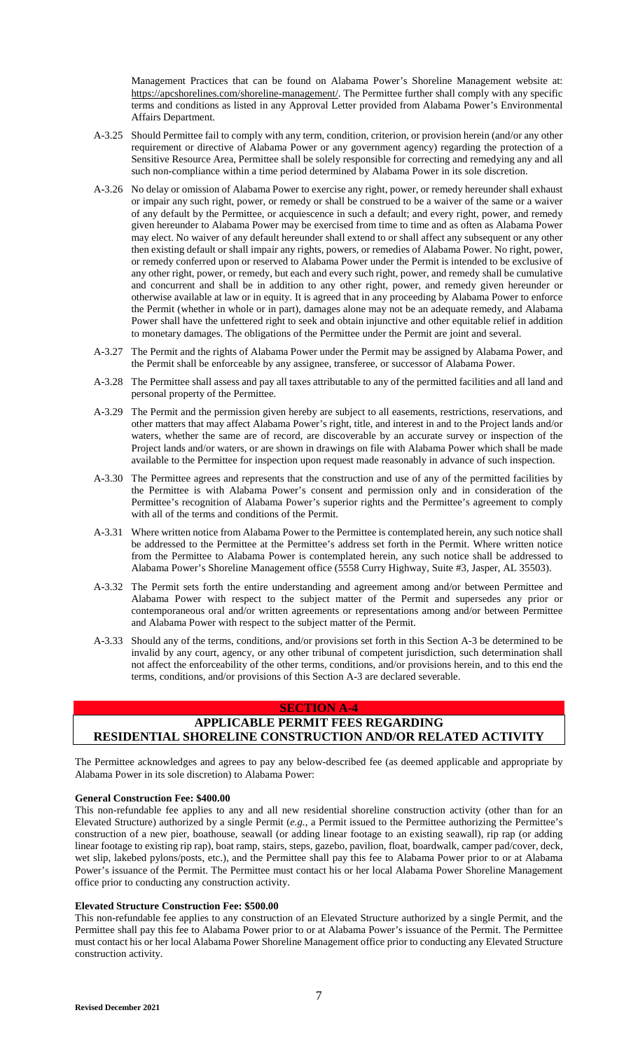Management Practices that can be found on Alabama Power's Shoreline Management website at: https://apcshorelines.com/shoreline-management/. The Permittee further shall comply with any specific terms and conditions as listed in any Approval Letter provided from Alabama Power's Environmental Affairs Department.

- A-3.25 Should Permittee fail to comply with any term, condition, criterion, or provision herein (and/or any other requirement or directive of Alabama Power or any government agency) regarding the protection of a Sensitive Resource Area, Permittee shall be solely responsible for correcting and remedying any and all such non-compliance within a time period determined by Alabama Power in its sole discretion.
- A-3.26 No delay or omission of Alabama Power to exercise any right, power, or remedy hereunder shall exhaust or impair any such right, power, or remedy or shall be construed to be a waiver of the same or a waiver of any default by the Permittee, or acquiescence in such a default; and every right, power, and remedy given hereunder to Alabama Power may be exercised from time to time and as often as Alabama Power may elect. No waiver of any default hereunder shall extend to or shall affect any subsequent or any other then existing default or shall impair any rights, powers, or remedies of Alabama Power. No right, power, or remedy conferred upon or reserved to Alabama Power under the Permit is intended to be exclusive of any other right, power, or remedy, but each and every such right, power, and remedy shall be cumulative and concurrent and shall be in addition to any other right, power, and remedy given hereunder or otherwise available at law or in equity. It is agreed that in any proceeding by Alabama Power to enforce the Permit (whether in whole or in part), damages alone may not be an adequate remedy, and Alabama Power shall have the unfettered right to seek and obtain injunctive and other equitable relief in addition to monetary damages. The obligations of the Permittee under the Permit are joint and several.
- A-3.27 The Permit and the rights of Alabama Power under the Permit may be assigned by Alabama Power, and the Permit shall be enforceable by any assignee, transferee, or successor of Alabama Power.
- A-3.28 The Permittee shall assess and pay all taxes attributable to any of the permitted facilities and all land and personal property of the Permittee.
- A-3.29 The Permit and the permission given hereby are subject to all easements, restrictions, reservations, and other matters that may affect Alabama Power's right, title, and interest in and to the Project lands and/or waters, whether the same are of record, are discoverable by an accurate survey or inspection of the Project lands and/or waters, or are shown in drawings on file with Alabama Power which shall be made available to the Permittee for inspection upon request made reasonably in advance of such inspection.
- A-3.30 The Permittee agrees and represents that the construction and use of any of the permitted facilities by the Permittee is with Alabama Power's consent and permission only and in consideration of the Permittee's recognition of Alabama Power's superior rights and the Permittee's agreement to comply with all of the terms and conditions of the Permit.
- A-3.31 Where written notice from Alabama Power to the Permittee is contemplated herein, any such notice shall be addressed to the Permittee at the Permittee's address set forth in the Permit. Where written notice from the Permittee to Alabama Power is contemplated herein, any such notice shall be addressed to Alabama Power's Shoreline Management office (5558 Curry Highway, Suite #3, Jasper, AL 35503).
- A-3.32 The Permit sets forth the entire understanding and agreement among and/or between Permittee and Alabama Power with respect to the subject matter of the Permit and supersedes any prior or contemporaneous oral and/or written agreements or representations among and/or between Permittee and Alabama Power with respect to the subject matter of the Permit.
- A-3.33 Should any of the terms, conditions, and/or provisions set forth in this Section A-3 be determined to be invalid by any court, agency, or any other tribunal of competent jurisdiction, such determination shall not affect the enforceability of the other terms, conditions, and/or provisions herein, and to this end the terms, conditions, and/or provisions of this Section A-3 are declared severable.

### **SECTION A-4**

# **APPLICABLE PERMIT FEES REGARDING RESIDENTIAL SHORELINE CONSTRUCTION AND/OR RELATED ACTIVITY**

The Permittee acknowledges and agrees to pay any below-described fee (as deemed applicable and appropriate by Alabama Power in its sole discretion) to Alabama Power:

### **General Construction Fee: \$400.00**

This non-refundable fee applies to any and all new residential shoreline construction activity (other than for an Elevated Structure) authorized by a single Permit (*e.g.*, a Permit issued to the Permittee authorizing the Permittee's construction of a new pier, boathouse, seawall (or adding linear footage to an existing seawall), rip rap (or adding linear footage to existing rip rap), boat ramp, stairs, steps, gazebo, pavilion, float, boardwalk, camper pad/cover, deck, wet slip, lakebed pylons/posts, etc.), and the Permittee shall pay this fee to Alabama Power prior to or at Alabama Power's issuance of the Permit. The Permittee must contact his or her local Alabama Power Shoreline Management office prior to conducting any construction activity.

### **Elevated Structure Construction Fee: \$500.00**

This non-refundable fee applies to any construction of an Elevated Structure authorized by a single Permit, and the Permittee shall pay this fee to Alabama Power prior to or at Alabama Power's issuance of the Permit. The Permittee must contact his or her local Alabama Power Shoreline Management office prior to conducting any Elevated Structure construction activity.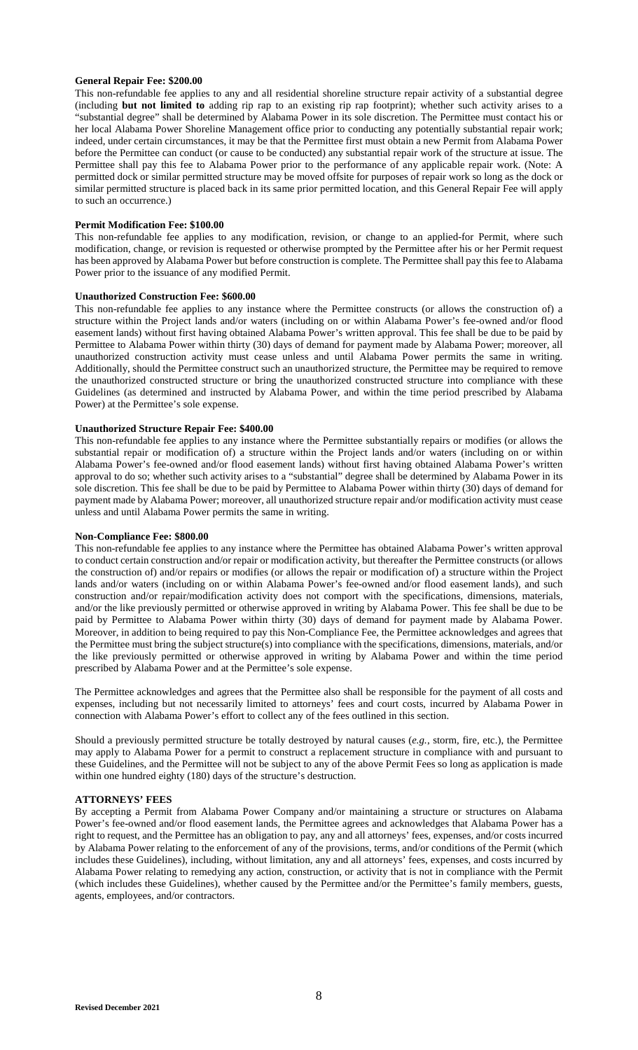#### **General Repair Fee: \$200.00**

This non-refundable fee applies to any and all residential shoreline structure repair activity of a substantial degree (including **but not limited to** adding rip rap to an existing rip rap footprint); whether such activity arises to a "substantial degree" shall be determined by Alabama Power in its sole discretion. The Permittee must contact his or her local Alabama Power Shoreline Management office prior to conducting any potentially substantial repair work; indeed, under certain circumstances, it may be that the Permittee first must obtain a new Permit from Alabama Power before the Permittee can conduct (or cause to be conducted) any substantial repair work of the structure at issue. The Permittee shall pay this fee to Alabama Power prior to the performance of any applicable repair work. (Note: A permitted dock or similar permitted structure may be moved offsite for purposes of repair work so long as the dock or similar permitted structure is placed back in its same prior permitted location, and this General Repair Fee will apply to such an occurrence.)

#### **Permit Modification Fee: \$100.00**

This non-refundable fee applies to any modification, revision, or change to an applied-for Permit, where such modification, change, or revision is requested or otherwise prompted by the Permittee after his or her Permit request has been approved by Alabama Power but before construction is complete. The Permittee shall pay this fee to Alabama Power prior to the issuance of any modified Permit.

#### **Unauthorized Construction Fee: \$600.00**

This non-refundable fee applies to any instance where the Permittee constructs (or allows the construction of) a structure within the Project lands and/or waters (including on or within Alabama Power's fee-owned and/or flood easement lands) without first having obtained Alabama Power's written approval. This fee shall be due to be paid by Permittee to Alabama Power within thirty (30) days of demand for payment made by Alabama Power; moreover, all unauthorized construction activity must cease unless and until Alabama Power permits the same in writing. Additionally, should the Permittee construct such an unauthorized structure, the Permittee may be required to remove the unauthorized constructed structure or bring the unauthorized constructed structure into compliance with these Guidelines (as determined and instructed by Alabama Power, and within the time period prescribed by Alabama Power) at the Permittee's sole expense.

### **Unauthorized Structure Repair Fee: \$400.00**

This non-refundable fee applies to any instance where the Permittee substantially repairs or modifies (or allows the substantial repair or modification of) a structure within the Project lands and/or waters (including on or within Alabama Power's fee-owned and/or flood easement lands) without first having obtained Alabama Power's written approval to do so; whether such activity arises to a "substantial" degree shall be determined by Alabama Power in its sole discretion. This fee shall be due to be paid by Permittee to Alabama Power within thirty (30) days of demand for payment made by Alabama Power; moreover, all unauthorized structure repair and/or modification activity must cease unless and until Alabama Power permits the same in writing.

### **Non-Compliance Fee: \$800.00**

This non-refundable fee applies to any instance where the Permittee has obtained Alabama Power's written approval to conduct certain construction and/or repair or modification activity, but thereafter the Permittee constructs (or allows the construction of) and/or repairs or modifies (or allows the repair or modification of) a structure within the Project lands and/or waters (including on or within Alabama Power's fee-owned and/or flood easement lands), and such construction and/or repair/modification activity does not comport with the specifications, dimensions, materials, and/or the like previously permitted or otherwise approved in writing by Alabama Power. This fee shall be due to be paid by Permittee to Alabama Power within thirty (30) days of demand for payment made by Alabama Power. Moreover, in addition to being required to pay this Non-Compliance Fee, the Permittee acknowledges and agrees that the Permittee must bring the subject structure(s) into compliance with the specifications, dimensions, materials, and/or the like previously permitted or otherwise approved in writing by Alabama Power and within the time period prescribed by Alabama Power and at the Permittee's sole expense.

The Permittee acknowledges and agrees that the Permittee also shall be responsible for the payment of all costs and expenses, including but not necessarily limited to attorneys' fees and court costs, incurred by Alabama Power in connection with Alabama Power's effort to collect any of the fees outlined in this section.

Should a previously permitted structure be totally destroyed by natural causes (*e.g.*, storm, fire, etc.), the Permittee may apply to Alabama Power for a permit to construct a replacement structure in compliance with and pursuant to these Guidelines, and the Permittee will not be subject to any of the above Permit Fees so long as application is made within one hundred eighty (180) days of the structure's destruction.

### **ATTORNEYS' FEES**

By accepting a Permit from Alabama Power Company and/or maintaining a structure or structures on Alabama Power's fee-owned and/or flood easement lands, the Permittee agrees and acknowledges that Alabama Power has a right to request, and the Permittee has an obligation to pay, any and all attorneys' fees, expenses, and/or costs incurred by Alabama Power relating to the enforcement of any of the provisions, terms, and/or conditions of the Permit (which includes these Guidelines), including, without limitation, any and all attorneys' fees, expenses, and costs incurred by Alabama Power relating to remedying any action, construction, or activity that is not in compliance with the Permit (which includes these Guidelines), whether caused by the Permittee and/or the Permittee's family members, guests, agents, employees, and/or contractors.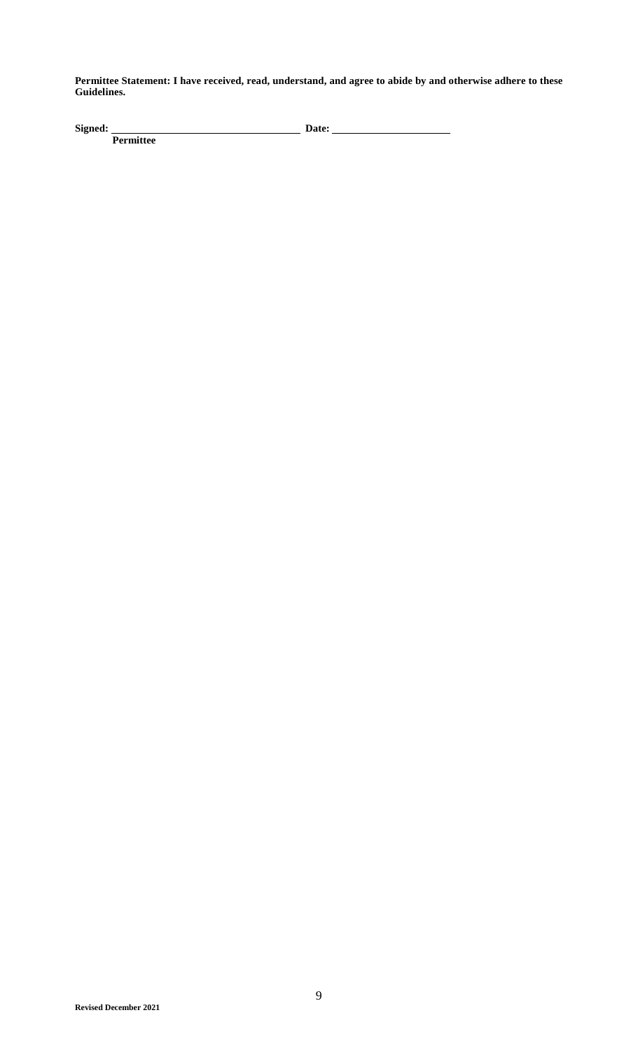**Permittee Statement: I have received, read, understand, and agree to abide by and otherwise adhere to these Guidelines.** 

**Signed:** Date: <u>**Signed: Date: Signed:** Date: **All Date:**  $\frac{1}{2}$ </u> Signed: **Permittee**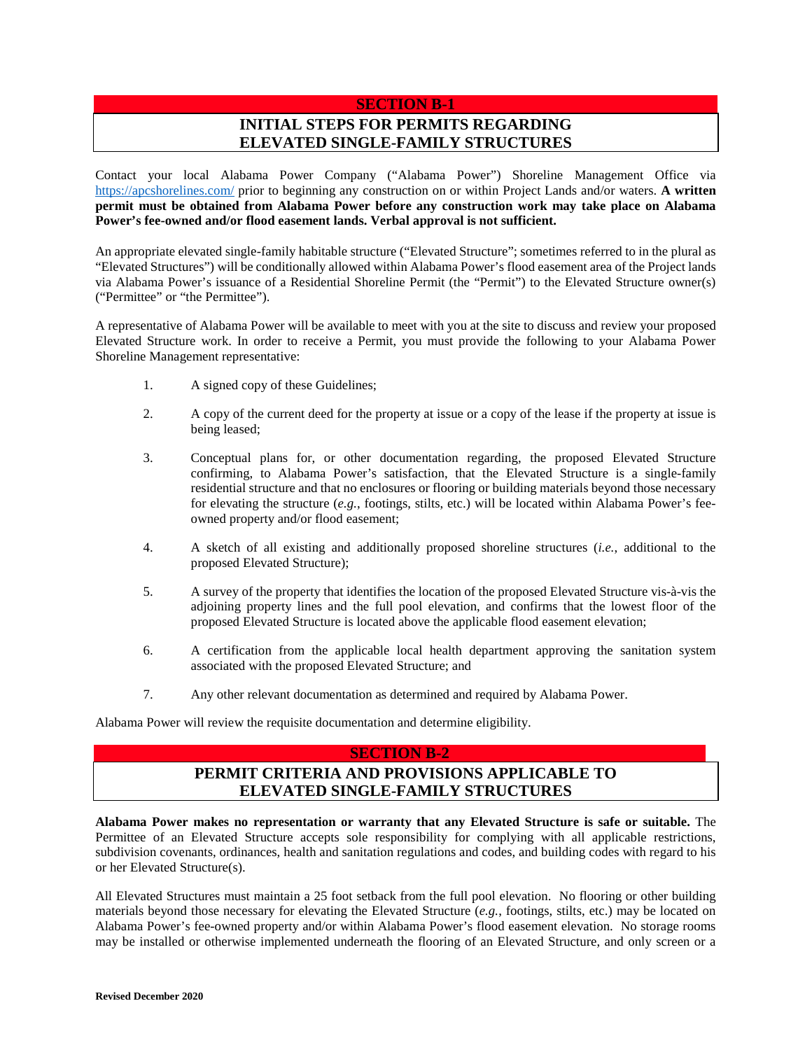### **SECTION B-1**

# **INITIAL STEPS FOR PERMITS REGARDING ELEVATED SINGLE-FAMILY STRUCTURES**

Contact your local Alabama Power Company ("Alabama Power") Shoreline Management Office via https://apcshorelines.com/ prior to beginning any construction on or within Project Lands and/or waters. **A written permit must be obtained from Alabama Power before any construction work may take place on Alabama Power's fee-owned and/or flood easement lands. Verbal approval is not sufficient.**

An appropriate elevated single-family habitable structure ("Elevated Structure"; sometimes referred to in the plural as "Elevated Structures") will be conditionally allowed within Alabama Power's flood easement area of the Project lands via Alabama Power's issuance of a Residential Shoreline Permit (the "Permit") to the Elevated Structure owner(s) ("Permittee" or "the Permittee").

A representative of Alabama Power will be available to meet with you at the site to discuss and review your proposed Elevated Structure work. In order to receive a Permit, you must provide the following to your Alabama Power Shoreline Management representative:

- 1. A signed copy of these Guidelines;
- 2. A copy of the current deed for the property at issue or a copy of the lease if the property at issue is being leased;
- 3. Conceptual plans for, or other documentation regarding, the proposed Elevated Structure confirming, to Alabama Power's satisfaction, that the Elevated Structure is a single-family residential structure and that no enclosures or flooring or building materials beyond those necessary for elevating the structure (*e.g.*, footings, stilts, etc.) will be located within Alabama Power's feeowned property and/or flood easement;
- 4. A sketch of all existing and additionally proposed shoreline structures (*i.e.*, additional to the proposed Elevated Structure);
- 5. A survey of the property that identifies the location of the proposed Elevated Structure vis-à-vis the adjoining property lines and the full pool elevation, and confirms that the lowest floor of the proposed Elevated Structure is located above the applicable flood easement elevation;
- 6. A certification from the applicable local health department approving the sanitation system associated with the proposed Elevated Structure; and
- 7. Any other relevant documentation as determined and required by Alabama Power.

Alabama Power will review the requisite documentation and determine eligibility.

#### **SECTION B-2**

# **PERMIT CRITERIA AND PROVISIONS APPLICABLE TO ELEVATED SINGLE-FAMILY STRUCTURES**

**Alabama Power makes no representation or warranty that any Elevated Structure is safe or suitable.** The Permittee of an Elevated Structure accepts sole responsibility for complying with all applicable restrictions, subdivision covenants, ordinances, health and sanitation regulations and codes, and building codes with regard to his or her Elevated Structure(s).

All Elevated Structures must maintain a 25 foot setback from the full pool elevation. No flooring or other building materials beyond those necessary for elevating the Elevated Structure (*e.g.*, footings, stilts, etc.) may be located on Alabama Power's fee-owned property and/or within Alabama Power's flood easement elevation. No storage rooms may be installed or otherwise implemented underneath the flooring of an Elevated Structure, and only screen or a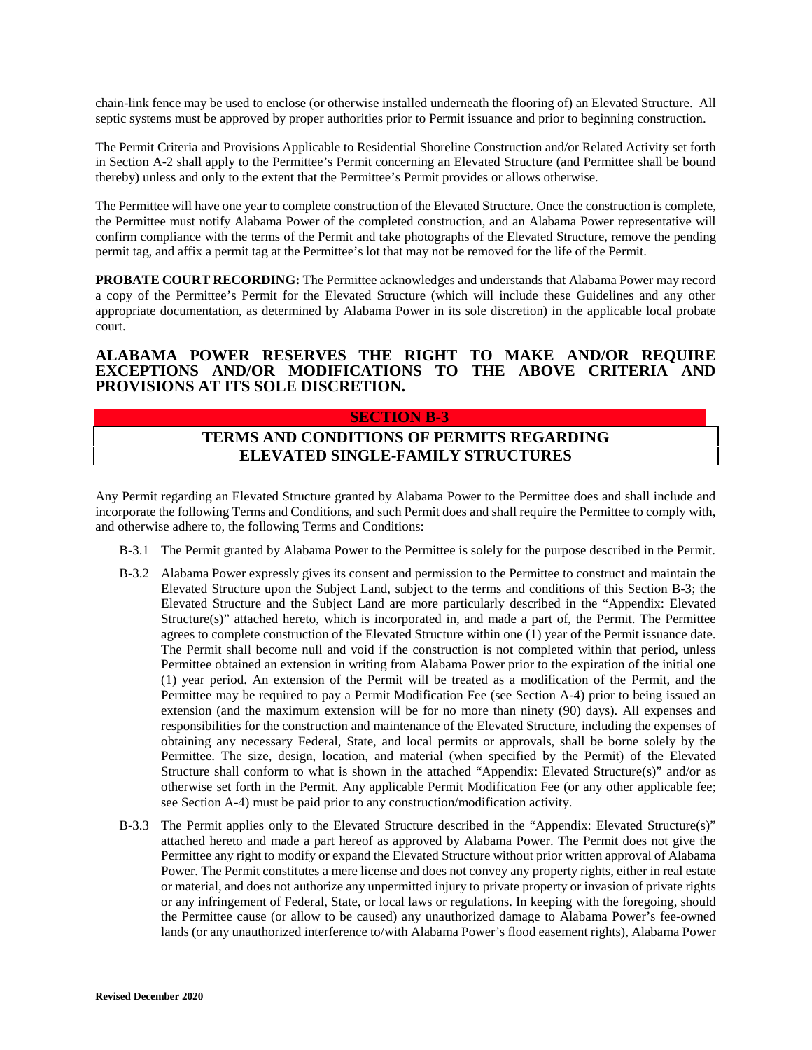chain-link fence may be used to enclose (or otherwise installed underneath the flooring of) an Elevated Structure. All septic systems must be approved by proper authorities prior to Permit issuance and prior to beginning construction.

The Permit Criteria and Provisions Applicable to Residential Shoreline Construction and/or Related Activity set forth in Section A-2 shall apply to the Permittee's Permit concerning an Elevated Structure (and Permittee shall be bound thereby) unless and only to the extent that the Permittee's Permit provides or allows otherwise.

The Permittee will have one year to complete construction of the Elevated Structure. Once the construction is complete, the Permittee must notify Alabama Power of the completed construction, and an Alabama Power representative will confirm compliance with the terms of the Permit and take photographs of the Elevated Structure, remove the pending permit tag, and affix a permit tag at the Permittee's lot that may not be removed for the life of the Permit.

**PROBATE COURT RECORDING:** The Permittee acknowledges and understands that Alabama Power may record a copy of the Permittee's Permit for the Elevated Structure (which will include these Guidelines and any other appropriate documentation, as determined by Alabama Power in its sole discretion) in the applicable local probate court.

### **ALABAMA POWER RESERVES THE RIGHT TO MAKE AND/OR REQUIRE EXCEPTIONS AND/OR MODIFICATIONS TO THE ABOVE CRITERIA AND PROVISIONS AT ITS SOLE DISCRETION.**

#### **SECTION B-3**

# **TERMS AND CONDITIONS OF PERMITS REGARDING ELEVATED SINGLE-FAMILY STRUCTURES**

Any Permit regarding an Elevated Structure granted by Alabama Power to the Permittee does and shall include and incorporate the following Terms and Conditions, and such Permit does and shall require the Permittee to comply with, and otherwise adhere to, the following Terms and Conditions:

- B-3.1 The Permit granted by Alabama Power to the Permittee is solely for the purpose described in the Permit.
- B-3.2 Alabama Power expressly gives its consent and permission to the Permittee to construct and maintain the Elevated Structure upon the Subject Land, subject to the terms and conditions of this Section B-3; the Elevated Structure and the Subject Land are more particularly described in the "Appendix: Elevated Structure(s)" attached hereto, which is incorporated in, and made a part of, the Permit. The Permittee agrees to complete construction of the Elevated Structure within one (1) year of the Permit issuance date. The Permit shall become null and void if the construction is not completed within that period, unless Permittee obtained an extension in writing from Alabama Power prior to the expiration of the initial one (1) year period. An extension of the Permit will be treated as a modification of the Permit, and the Permittee may be required to pay a Permit Modification Fee (see Section A-4) prior to being issued an extension (and the maximum extension will be for no more than ninety (90) days). All expenses and responsibilities for the construction and maintenance of the Elevated Structure, including the expenses of obtaining any necessary Federal, State, and local permits or approvals, shall be borne solely by the Permittee. The size, design, location, and material (when specified by the Permit) of the Elevated Structure shall conform to what is shown in the attached "Appendix: Elevated Structure(s)" and/or as otherwise set forth in the Permit. Any applicable Permit Modification Fee (or any other applicable fee; see Section A-4) must be paid prior to any construction/modification activity.
- B-3.3 The Permit applies only to the Elevated Structure described in the "Appendix: Elevated Structure(s)" attached hereto and made a part hereof as approved by Alabama Power. The Permit does not give the Permittee any right to modify or expand the Elevated Structure without prior written approval of Alabama Power. The Permit constitutes a mere license and does not convey any property rights, either in real estate or material, and does not authorize any unpermitted injury to private property or invasion of private rights or any infringement of Federal, State, or local laws or regulations. In keeping with the foregoing, should the Permittee cause (or allow to be caused) any unauthorized damage to Alabama Power's fee-owned lands (or any unauthorized interference to/with Alabama Power's flood easement rights), Alabama Power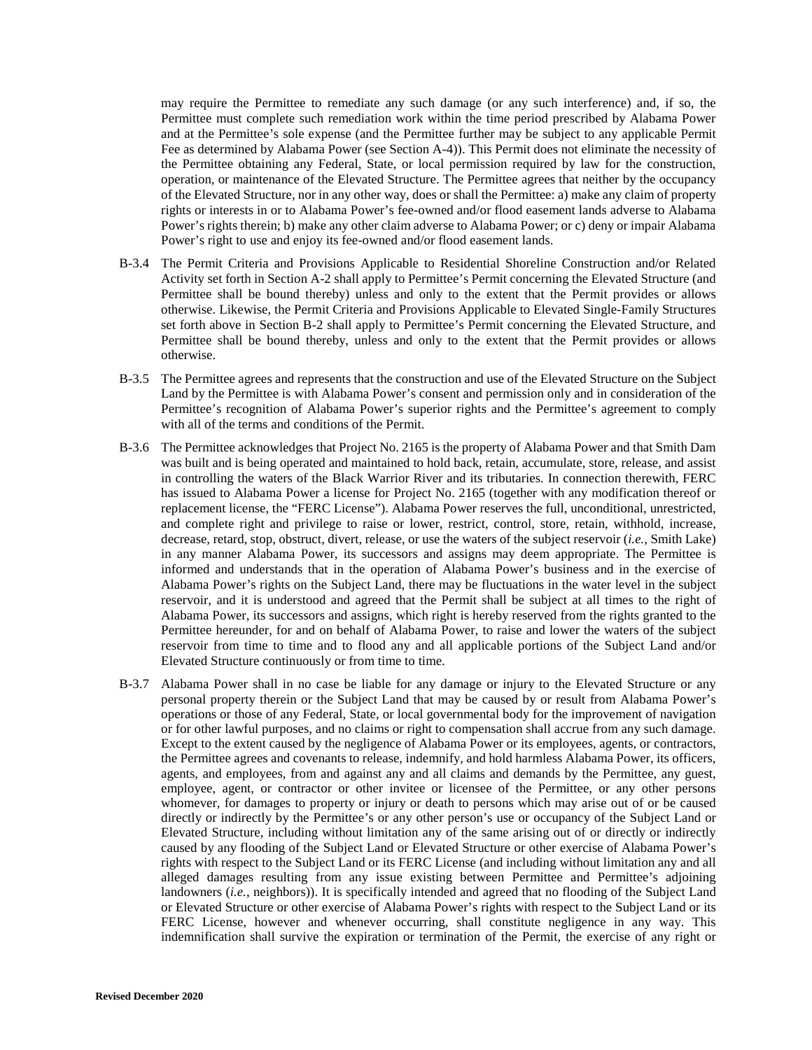may require the Permittee to remediate any such damage (or any such interference) and, if so, the Permittee must complete such remediation work within the time period prescribed by Alabama Power and at the Permittee's sole expense (and the Permittee further may be subject to any applicable Permit Fee as determined by Alabama Power (see Section A-4)). This Permit does not eliminate the necessity of the Permittee obtaining any Federal, State, or local permission required by law for the construction, operation, or maintenance of the Elevated Structure. The Permittee agrees that neither by the occupancy of the Elevated Structure, nor in any other way, does or shall the Permittee: a) make any claim of property rights or interests in or to Alabama Power's fee-owned and/or flood easement lands adverse to Alabama Power's rights therein; b) make any other claim adverse to Alabama Power; or c) deny or impair Alabama Power's right to use and enjoy its fee-owned and/or flood easement lands.

- B-3.4 The Permit Criteria and Provisions Applicable to Residential Shoreline Construction and/or Related Activity set forth in Section A-2 shall apply to Permittee's Permit concerning the Elevated Structure (and Permittee shall be bound thereby) unless and only to the extent that the Permit provides or allows otherwise. Likewise, the Permit Criteria and Provisions Applicable to Elevated Single-Family Structures set forth above in Section B-2 shall apply to Permittee's Permit concerning the Elevated Structure, and Permittee shall be bound thereby, unless and only to the extent that the Permit provides or allows otherwise.
- B-3.5 The Permittee agrees and represents that the construction and use of the Elevated Structure on the Subject Land by the Permittee is with Alabama Power's consent and permission only and in consideration of the Permittee's recognition of Alabama Power's superior rights and the Permittee's agreement to comply with all of the terms and conditions of the Permit.
- B-3.6 The Permittee acknowledges that Project No. 2165 is the property of Alabama Power and that Smith Dam was built and is being operated and maintained to hold back, retain, accumulate, store, release, and assist in controlling the waters of the Black Warrior River and its tributaries. In connection therewith, FERC has issued to Alabama Power a license for Project No. 2165 (together with any modification thereof or replacement license, the "FERC License"). Alabama Power reserves the full, unconditional, unrestricted, and complete right and privilege to raise or lower, restrict, control, store, retain, withhold, increase, decrease, retard, stop, obstruct, divert, release, or use the waters of the subject reservoir (*i.e.*, Smith Lake) in any manner Alabama Power, its successors and assigns may deem appropriate. The Permittee is informed and understands that in the operation of Alabama Power's business and in the exercise of Alabama Power's rights on the Subject Land, there may be fluctuations in the water level in the subject reservoir, and it is understood and agreed that the Permit shall be subject at all times to the right of Alabama Power, its successors and assigns, which right is hereby reserved from the rights granted to the Permittee hereunder, for and on behalf of Alabama Power, to raise and lower the waters of the subject reservoir from time to time and to flood any and all applicable portions of the Subject Land and/or Elevated Structure continuously or from time to time.
- B-3.7 Alabama Power shall in no case be liable for any damage or injury to the Elevated Structure or any personal property therein or the Subject Land that may be caused by or result from Alabama Power's operations or those of any Federal, State, or local governmental body for the improvement of navigation or for other lawful purposes, and no claims or right to compensation shall accrue from any such damage. Except to the extent caused by the negligence of Alabama Power or its employees, agents, or contractors, the Permittee agrees and covenants to release, indemnify, and hold harmless Alabama Power, its officers, agents, and employees, from and against any and all claims and demands by the Permittee, any guest, employee, agent, or contractor or other invitee or licensee of the Permittee, or any other persons whomever, for damages to property or injury or death to persons which may arise out of or be caused directly or indirectly by the Permittee's or any other person's use or occupancy of the Subject Land or Elevated Structure, including without limitation any of the same arising out of or directly or indirectly caused by any flooding of the Subject Land or Elevated Structure or other exercise of Alabama Power's rights with respect to the Subject Land or its FERC License (and including without limitation any and all alleged damages resulting from any issue existing between Permittee and Permittee's adjoining landowners (*i.e.*, neighbors)). It is specifically intended and agreed that no flooding of the Subject Land or Elevated Structure or other exercise of Alabama Power's rights with respect to the Subject Land or its FERC License, however and whenever occurring, shall constitute negligence in any way. This indemnification shall survive the expiration or termination of the Permit, the exercise of any right or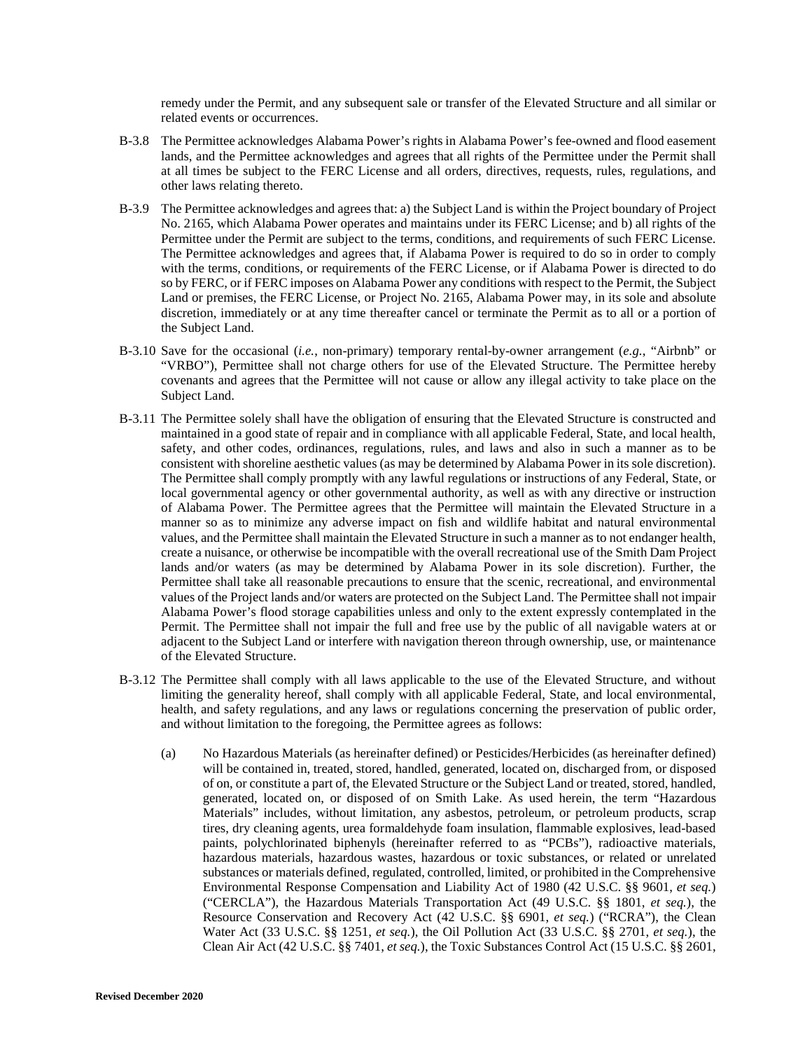remedy under the Permit, and any subsequent sale or transfer of the Elevated Structure and all similar or related events or occurrences.

- B-3.8 The Permittee acknowledges Alabama Power's rights in Alabama Power's fee-owned and flood easement lands, and the Permittee acknowledges and agrees that all rights of the Permittee under the Permit shall at all times be subject to the FERC License and all orders, directives, requests, rules, regulations, and other laws relating thereto.
- B-3.9 The Permittee acknowledges and agrees that: a) the Subject Land is within the Project boundary of Project No. 2165, which Alabama Power operates and maintains under its FERC License; and b) all rights of the Permittee under the Permit are subject to the terms, conditions, and requirements of such FERC License. The Permittee acknowledges and agrees that, if Alabama Power is required to do so in order to comply with the terms, conditions, or requirements of the FERC License, or if Alabama Power is directed to do so by FERC, or if FERC imposes on Alabama Power any conditions with respect to the Permit, the Subject Land or premises, the FERC License, or Project No. 2165, Alabama Power may, in its sole and absolute discretion, immediately or at any time thereafter cancel or terminate the Permit as to all or a portion of the Subject Land.
- B-3.10 Save for the occasional (*i.e.*, non-primary) temporary rental-by-owner arrangement (*e.g.*, "Airbnb" or "VRBO"), Permittee shall not charge others for use of the Elevated Structure. The Permittee hereby covenants and agrees that the Permittee will not cause or allow any illegal activity to take place on the Subject Land.
- B-3.11 The Permittee solely shall have the obligation of ensuring that the Elevated Structure is constructed and maintained in a good state of repair and in compliance with all applicable Federal, State, and local health, safety, and other codes, ordinances, regulations, rules, and laws and also in such a manner as to be consistent with shoreline aesthetic values (as may be determined by Alabama Power in its sole discretion). The Permittee shall comply promptly with any lawful regulations or instructions of any Federal, State, or local governmental agency or other governmental authority, as well as with any directive or instruction of Alabama Power. The Permittee agrees that the Permittee will maintain the Elevated Structure in a manner so as to minimize any adverse impact on fish and wildlife habitat and natural environmental values, and the Permittee shall maintain the Elevated Structure in such a manner as to not endanger health, create a nuisance, or otherwise be incompatible with the overall recreational use of the Smith Dam Project lands and/or waters (as may be determined by Alabama Power in its sole discretion). Further, the Permittee shall take all reasonable precautions to ensure that the scenic, recreational, and environmental values of the Project lands and/or waters are protected on the Subject Land. The Permittee shall not impair Alabama Power's flood storage capabilities unless and only to the extent expressly contemplated in the Permit. The Permittee shall not impair the full and free use by the public of all navigable waters at or adjacent to the Subject Land or interfere with navigation thereon through ownership, use, or maintenance of the Elevated Structure.
- B-3.12 The Permittee shall comply with all laws applicable to the use of the Elevated Structure, and without limiting the generality hereof, shall comply with all applicable Federal, State, and local environmental, health, and safety regulations, and any laws or regulations concerning the preservation of public order, and without limitation to the foregoing, the Permittee agrees as follows:
	- (a) No Hazardous Materials (as hereinafter defined) or Pesticides/Herbicides (as hereinafter defined) will be contained in, treated, stored, handled, generated, located on, discharged from, or disposed of on, or constitute a part of, the Elevated Structure or the Subject Land or treated, stored, handled, generated, located on, or disposed of on Smith Lake. As used herein, the term "Hazardous Materials" includes, without limitation, any asbestos, petroleum, or petroleum products, scrap tires, dry cleaning agents, urea formaldehyde foam insulation, flammable explosives, lead-based paints, polychlorinated biphenyls (hereinafter referred to as "PCBs"), radioactive materials, hazardous materials, hazardous wastes, hazardous or toxic substances, or related or unrelated substances or materials defined, regulated, controlled, limited, or prohibited in the Comprehensive Environmental Response Compensation and Liability Act of 1980 (42 U.S.C. §§ 9601, *et seq.*) ("CERCLA"), the Hazardous Materials Transportation Act (49 U.S.C. §§ 1801, *et seq.*), the Resource Conservation and Recovery Act (42 U.S.C. §§ 6901, *et seq.*) ("RCRA"), the Clean Water Act (33 U.S.C. §§ 1251, *et seq.*), the Oil Pollution Act (33 U.S.C. §§ 2701, *et seq.*), the Clean Air Act (42 U.S.C. §§ 7401, *et seq.*), the Toxic Substances Control Act (15 U.S.C. §§ 2601,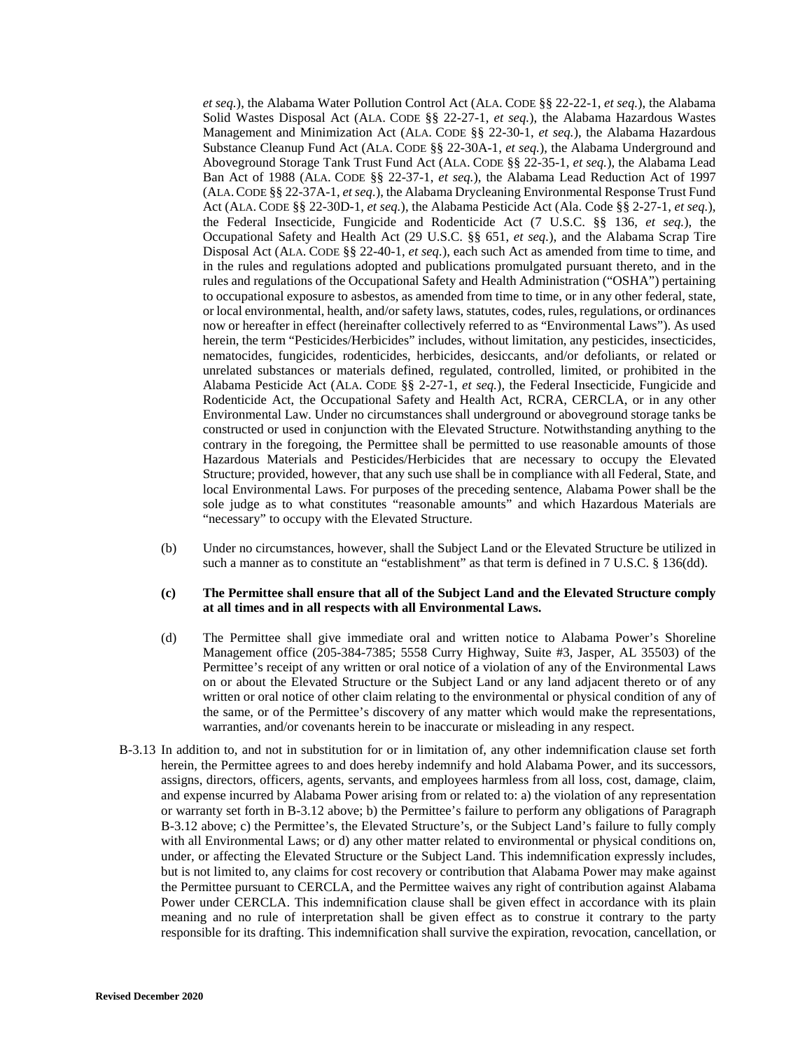*et seq.*), the Alabama Water Pollution Control Act (ALA. CODE §§ 22-22-1, *et seq.*), the Alabama Solid Wastes Disposal Act (ALA. CODE §§ 22-27-1, *et seq.*), the Alabama Hazardous Wastes Management and Minimization Act (ALA. CODE §§ 22-30-1, *et seq.*), the Alabama Hazardous Substance Cleanup Fund Act (ALA. CODE §§ 22-30A-1, *et seq.*), the Alabama Underground and Aboveground Storage Tank Trust Fund Act (ALA. CODE §§ 22-35-1, *et seq.*), the Alabama Lead Ban Act of 1988 (ALA. CODE §§ 22-37-1, *et seq.*), the Alabama Lead Reduction Act of 1997 (ALA.CODE §§ 22-37A-1, *et seq.*), the Alabama Drycleaning Environmental Response Trust Fund Act (ALA. CODE §§ 22-30D-1, *et seq.*), the Alabama Pesticide Act (Ala. Code §§ 2-27-1, *et seq.*), the Federal Insecticide, Fungicide and Rodenticide Act (7 U.S.C. §§ 136, *et seq.*), the Occupational Safety and Health Act (29 U.S.C. §§ 651, *et seq.*), and the Alabama Scrap Tire Disposal Act (ALA. CODE §§ 22-40-1, *et seq.*), each such Act as amended from time to time, and in the rules and regulations adopted and publications promulgated pursuant thereto, and in the rules and regulations of the Occupational Safety and Health Administration ("OSHA") pertaining to occupational exposure to asbestos, as amended from time to time, or in any other federal, state, or local environmental, health, and/or safety laws, statutes, codes, rules, regulations, or ordinances now or hereafter in effect (hereinafter collectively referred to as "Environmental Laws"). As used herein, the term "Pesticides/Herbicides" includes, without limitation, any pesticides, insecticides, nematocides, fungicides, rodenticides, herbicides, desiccants, and/or defoliants, or related or unrelated substances or materials defined, regulated, controlled, limited, or prohibited in the Alabama Pesticide Act (ALA. CODE §§ 2-27-1, *et seq.*), the Federal Insecticide, Fungicide and Rodenticide Act, the Occupational Safety and Health Act, RCRA, CERCLA, or in any other Environmental Law. Under no circumstances shall underground or aboveground storage tanks be constructed or used in conjunction with the Elevated Structure. Notwithstanding anything to the contrary in the foregoing, the Permittee shall be permitted to use reasonable amounts of those Hazardous Materials and Pesticides/Herbicides that are necessary to occupy the Elevated Structure; provided, however, that any such use shall be in compliance with all Federal, State, and local Environmental Laws. For purposes of the preceding sentence, Alabama Power shall be the sole judge as to what constitutes "reasonable amounts" and which Hazardous Materials are "necessary" to occupy with the Elevated Structure.

(b) Under no circumstances, however, shall the Subject Land or the Elevated Structure be utilized in such a manner as to constitute an "establishment" as that term is defined in 7 U.S.C. § 136(dd).

#### **(c) The Permittee shall ensure that all of the Subject Land and the Elevated Structure comply at all times and in all respects with all Environmental Laws.**

- (d) The Permittee shall give immediate oral and written notice to Alabama Power's Shoreline Management office (205-384-7385; 5558 Curry Highway, Suite #3, Jasper, AL 35503) of the Permittee's receipt of any written or oral notice of a violation of any of the Environmental Laws on or about the Elevated Structure or the Subject Land or any land adjacent thereto or of any written or oral notice of other claim relating to the environmental or physical condition of any of the same, or of the Permittee's discovery of any matter which would make the representations, warranties, and/or covenants herein to be inaccurate or misleading in any respect.
- B-3.13 In addition to, and not in substitution for or in limitation of, any other indemnification clause set forth herein, the Permittee agrees to and does hereby indemnify and hold Alabama Power, and its successors, assigns, directors, officers, agents, servants, and employees harmless from all loss, cost, damage, claim, and expense incurred by Alabama Power arising from or related to: a) the violation of any representation or warranty set forth in B-3.12 above; b) the Permittee's failure to perform any obligations of Paragraph B-3.12 above; c) the Permittee's, the Elevated Structure's, or the Subject Land's failure to fully comply with all Environmental Laws; or d) any other matter related to environmental or physical conditions on, under, or affecting the Elevated Structure or the Subject Land. This indemnification expressly includes, but is not limited to, any claims for cost recovery or contribution that Alabama Power may make against the Permittee pursuant to CERCLA, and the Permittee waives any right of contribution against Alabama Power under CERCLA. This indemnification clause shall be given effect in accordance with its plain meaning and no rule of interpretation shall be given effect as to construe it contrary to the party responsible for its drafting. This indemnification shall survive the expiration, revocation, cancellation, or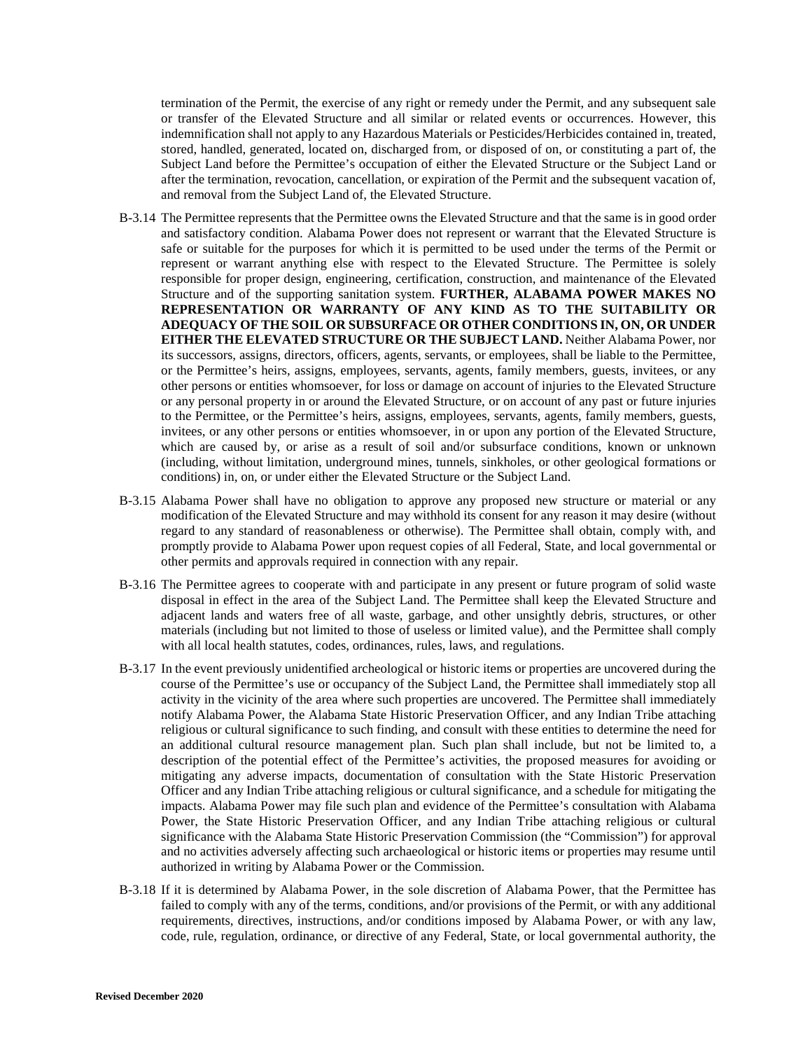termination of the Permit, the exercise of any right or remedy under the Permit, and any subsequent sale or transfer of the Elevated Structure and all similar or related events or occurrences. However, this indemnification shall not apply to any Hazardous Materials or Pesticides/Herbicides contained in, treated, stored, handled, generated, located on, discharged from, or disposed of on, or constituting a part of, the Subject Land before the Permittee's occupation of either the Elevated Structure or the Subject Land or after the termination, revocation, cancellation, or expiration of the Permit and the subsequent vacation of, and removal from the Subject Land of, the Elevated Structure.

- B-3.14 The Permittee represents that the Permittee owns the Elevated Structure and that the same is in good order and satisfactory condition. Alabama Power does not represent or warrant that the Elevated Structure is safe or suitable for the purposes for which it is permitted to be used under the terms of the Permit or represent or warrant anything else with respect to the Elevated Structure. The Permittee is solely responsible for proper design, engineering, certification, construction, and maintenance of the Elevated Structure and of the supporting sanitation system. **FURTHER, ALABAMA POWER MAKES NO REPRESENTATION OR WARRANTY OF ANY KIND AS TO THE SUITABILITY OR ADEQUACY OF THE SOIL OR SUBSURFACE OR OTHER CONDITIONS IN, ON, OR UNDER EITHER THE ELEVATED STRUCTURE OR THE SUBJECT LAND.** Neither Alabama Power, nor its successors, assigns, directors, officers, agents, servants, or employees, shall be liable to the Permittee, or the Permittee's heirs, assigns, employees, servants, agents, family members, guests, invitees, or any other persons or entities whomsoever, for loss or damage on account of injuries to the Elevated Structure or any personal property in or around the Elevated Structure, or on account of any past or future injuries to the Permittee, or the Permittee's heirs, assigns, employees, servants, agents, family members, guests, invitees, or any other persons or entities whomsoever, in or upon any portion of the Elevated Structure, which are caused by, or arise as a result of soil and/or subsurface conditions, known or unknown (including, without limitation, underground mines, tunnels, sinkholes, or other geological formations or conditions) in, on, or under either the Elevated Structure or the Subject Land.
- B-3.15 Alabama Power shall have no obligation to approve any proposed new structure or material or any modification of the Elevated Structure and may withhold its consent for any reason it may desire (without regard to any standard of reasonableness or otherwise). The Permittee shall obtain, comply with, and promptly provide to Alabama Power upon request copies of all Federal, State, and local governmental or other permits and approvals required in connection with any repair.
- B-3.16 The Permittee agrees to cooperate with and participate in any present or future program of solid waste disposal in effect in the area of the Subject Land. The Permittee shall keep the Elevated Structure and adjacent lands and waters free of all waste, garbage, and other unsightly debris, structures, or other materials (including but not limited to those of useless or limited value), and the Permittee shall comply with all local health statutes, codes, ordinances, rules, laws, and regulations.
- B-3.17 In the event previously unidentified archeological or historic items or properties are uncovered during the course of the Permittee's use or occupancy of the Subject Land, the Permittee shall immediately stop all activity in the vicinity of the area where such properties are uncovered. The Permittee shall immediately notify Alabama Power, the Alabama State Historic Preservation Officer, and any Indian Tribe attaching religious or cultural significance to such finding, and consult with these entities to determine the need for an additional cultural resource management plan. Such plan shall include, but not be limited to, a description of the potential effect of the Permittee's activities, the proposed measures for avoiding or mitigating any adverse impacts, documentation of consultation with the State Historic Preservation Officer and any Indian Tribe attaching religious or cultural significance, and a schedule for mitigating the impacts. Alabama Power may file such plan and evidence of the Permittee's consultation with Alabama Power, the State Historic Preservation Officer, and any Indian Tribe attaching religious or cultural significance with the Alabama State Historic Preservation Commission (the "Commission") for approval and no activities adversely affecting such archaeological or historic items or properties may resume until authorized in writing by Alabama Power or the Commission.
- B-3.18 If it is determined by Alabama Power, in the sole discretion of Alabama Power, that the Permittee has failed to comply with any of the terms, conditions, and/or provisions of the Permit, or with any additional requirements, directives, instructions, and/or conditions imposed by Alabama Power, or with any law, code, rule, regulation, ordinance, or directive of any Federal, State, or local governmental authority, the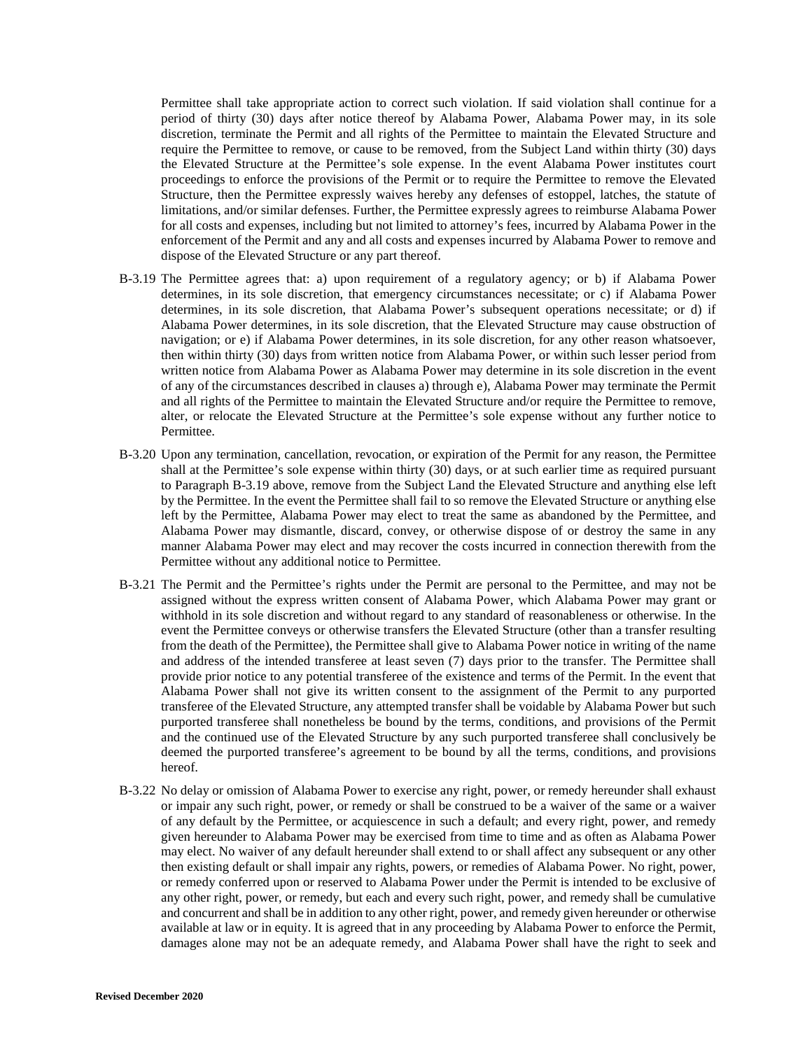Permittee shall take appropriate action to correct such violation. If said violation shall continue for a period of thirty (30) days after notice thereof by Alabama Power, Alabama Power may, in its sole discretion, terminate the Permit and all rights of the Permittee to maintain the Elevated Structure and require the Permittee to remove, or cause to be removed, from the Subject Land within thirty (30) days the Elevated Structure at the Permittee's sole expense. In the event Alabama Power institutes court proceedings to enforce the provisions of the Permit or to require the Permittee to remove the Elevated Structure, then the Permittee expressly waives hereby any defenses of estoppel, latches, the statute of limitations, and/or similar defenses. Further, the Permittee expressly agrees to reimburse Alabama Power for all costs and expenses, including but not limited to attorney's fees, incurred by Alabama Power in the enforcement of the Permit and any and all costs and expenses incurred by Alabama Power to remove and dispose of the Elevated Structure or any part thereof.

- B-3.19 The Permittee agrees that: a) upon requirement of a regulatory agency; or b) if Alabama Power determines, in its sole discretion, that emergency circumstances necessitate; or c) if Alabama Power determines, in its sole discretion, that Alabama Power's subsequent operations necessitate; or d) if Alabama Power determines, in its sole discretion, that the Elevated Structure may cause obstruction of navigation; or e) if Alabama Power determines, in its sole discretion, for any other reason whatsoever, then within thirty (30) days from written notice from Alabama Power, or within such lesser period from written notice from Alabama Power as Alabama Power may determine in its sole discretion in the event of any of the circumstances described in clauses a) through e), Alabama Power may terminate the Permit and all rights of the Permittee to maintain the Elevated Structure and/or require the Permittee to remove, alter, or relocate the Elevated Structure at the Permittee's sole expense without any further notice to Permittee.
- B-3.20 Upon any termination, cancellation, revocation, or expiration of the Permit for any reason, the Permittee shall at the Permittee's sole expense within thirty (30) days, or at such earlier time as required pursuant to Paragraph B-3.19 above, remove from the Subject Land the Elevated Structure and anything else left by the Permittee. In the event the Permittee shall fail to so remove the Elevated Structure or anything else left by the Permittee, Alabama Power may elect to treat the same as abandoned by the Permittee, and Alabama Power may dismantle, discard, convey, or otherwise dispose of or destroy the same in any manner Alabama Power may elect and may recover the costs incurred in connection therewith from the Permittee without any additional notice to Permittee.
- B-3.21 The Permit and the Permittee's rights under the Permit are personal to the Permittee, and may not be assigned without the express written consent of Alabama Power, which Alabama Power may grant or withhold in its sole discretion and without regard to any standard of reasonableness or otherwise. In the event the Permittee conveys or otherwise transfers the Elevated Structure (other than a transfer resulting from the death of the Permittee), the Permittee shall give to Alabama Power notice in writing of the name and address of the intended transferee at least seven (7) days prior to the transfer. The Permittee shall provide prior notice to any potential transferee of the existence and terms of the Permit. In the event that Alabama Power shall not give its written consent to the assignment of the Permit to any purported transferee of the Elevated Structure, any attempted transfer shall be voidable by Alabama Power but such purported transferee shall nonetheless be bound by the terms, conditions, and provisions of the Permit and the continued use of the Elevated Structure by any such purported transferee shall conclusively be deemed the purported transferee's agreement to be bound by all the terms, conditions, and provisions hereof.
- B-3.22 No delay or omission of Alabama Power to exercise any right, power, or remedy hereunder shall exhaust or impair any such right, power, or remedy or shall be construed to be a waiver of the same or a waiver of any default by the Permittee, or acquiescence in such a default; and every right, power, and remedy given hereunder to Alabama Power may be exercised from time to time and as often as Alabama Power may elect. No waiver of any default hereunder shall extend to or shall affect any subsequent or any other then existing default or shall impair any rights, powers, or remedies of Alabama Power. No right, power, or remedy conferred upon or reserved to Alabama Power under the Permit is intended to be exclusive of any other right, power, or remedy, but each and every such right, power, and remedy shall be cumulative and concurrent and shall be in addition to any other right, power, and remedy given hereunder or otherwise available at law or in equity. It is agreed that in any proceeding by Alabama Power to enforce the Permit, damages alone may not be an adequate remedy, and Alabama Power shall have the right to seek and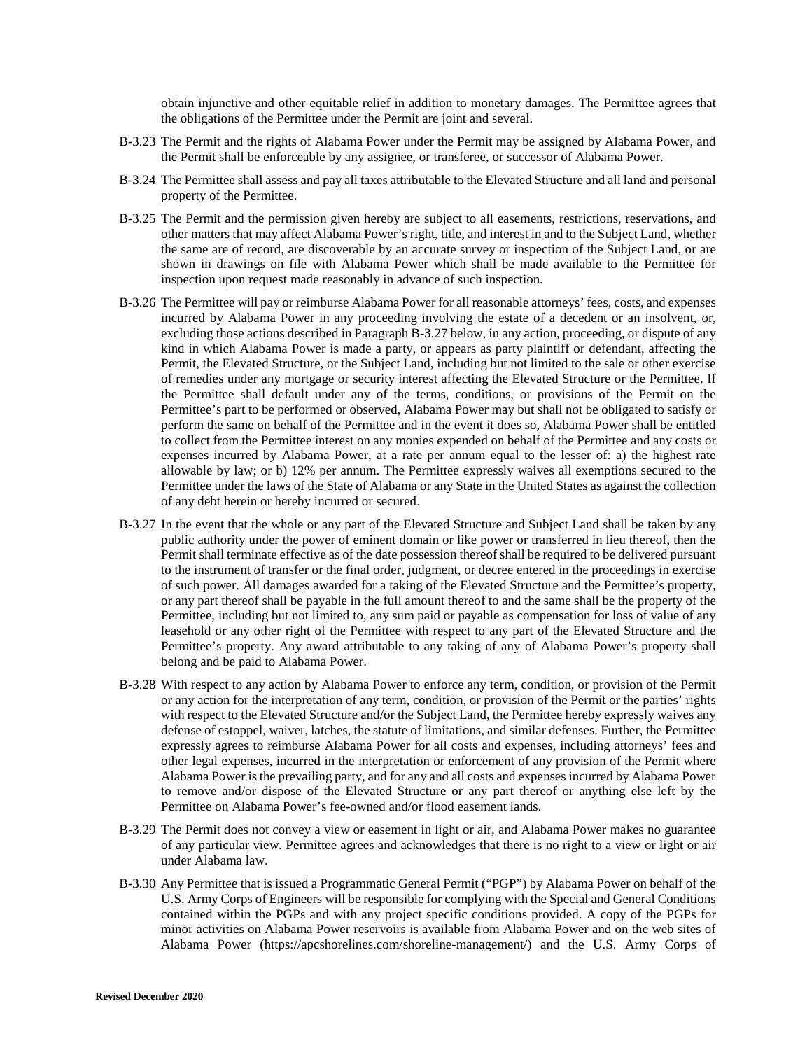obtain injunctive and other equitable relief in addition to monetary damages. The Permittee agrees that the obligations of the Permittee under the Permit are joint and several.

- B-3.23 The Permit and the rights of Alabama Power under the Permit may be assigned by Alabama Power, and the Permit shall be enforceable by any assignee, or transferee, or successor of Alabama Power.
- B-3.24 The Permittee shall assess and pay all taxes attributable to the Elevated Structure and all land and personal property of the Permittee.
- B-3.25 The Permit and the permission given hereby are subject to all easements, restrictions, reservations, and other matters that may affect Alabama Power's right, title, and interest in and to the Subject Land, whether the same are of record, are discoverable by an accurate survey or inspection of the Subject Land, or are shown in drawings on file with Alabama Power which shall be made available to the Permittee for inspection upon request made reasonably in advance of such inspection.
- B-3.26 The Permittee will pay or reimburse Alabama Power for all reasonable attorneys' fees, costs, and expenses incurred by Alabama Power in any proceeding involving the estate of a decedent or an insolvent, or, excluding those actions described in Paragraph B-3.27 below, in any action, proceeding, or dispute of any kind in which Alabama Power is made a party, or appears as party plaintiff or defendant, affecting the Permit, the Elevated Structure, or the Subject Land, including but not limited to the sale or other exercise of remedies under any mortgage or security interest affecting the Elevated Structure or the Permittee. If the Permittee shall default under any of the terms, conditions, or provisions of the Permit on the Permittee's part to be performed or observed, Alabama Power may but shall not be obligated to satisfy or perform the same on behalf of the Permittee and in the event it does so, Alabama Power shall be entitled to collect from the Permittee interest on any monies expended on behalf of the Permittee and any costs or expenses incurred by Alabama Power, at a rate per annum equal to the lesser of: a) the highest rate allowable by law; or b) 12% per annum. The Permittee expressly waives all exemptions secured to the Permittee under the laws of the State of Alabama or any State in the United States as against the collection of any debt herein or hereby incurred or secured.
- B-3.27 In the event that the whole or any part of the Elevated Structure and Subject Land shall be taken by any public authority under the power of eminent domain or like power or transferred in lieu thereof, then the Permit shall terminate effective as of the date possession thereof shall be required to be delivered pursuant to the instrument of transfer or the final order, judgment, or decree entered in the proceedings in exercise of such power. All damages awarded for a taking of the Elevated Structure and the Permittee's property, or any part thereof shall be payable in the full amount thereof to and the same shall be the property of the Permittee, including but not limited to, any sum paid or payable as compensation for loss of value of any leasehold or any other right of the Permittee with respect to any part of the Elevated Structure and the Permittee's property. Any award attributable to any taking of any of Alabama Power's property shall belong and be paid to Alabama Power.
- B-3.28 With respect to any action by Alabama Power to enforce any term, condition, or provision of the Permit or any action for the interpretation of any term, condition, or provision of the Permit or the parties' rights with respect to the Elevated Structure and/or the Subject Land, the Permittee hereby expressly waives any defense of estoppel, waiver, latches, the statute of limitations, and similar defenses. Further, the Permittee expressly agrees to reimburse Alabama Power for all costs and expenses, including attorneys' fees and other legal expenses, incurred in the interpretation or enforcement of any provision of the Permit where Alabama Power is the prevailing party, and for any and all costs and expenses incurred by Alabama Power to remove and/or dispose of the Elevated Structure or any part thereof or anything else left by the Permittee on Alabama Power's fee-owned and/or flood easement lands.
- B-3.29 The Permit does not convey a view or easement in light or air, and Alabama Power makes no guarantee of any particular view. Permittee agrees and acknowledges that there is no right to a view or light or air under Alabama law.
- B-3.30 Any Permittee that is issued a Programmatic General Permit ("PGP") by Alabama Power on behalf of the U.S. Army Corps of Engineers will be responsible for complying with the Special and General Conditions contained within the PGPs and with any project specific conditions provided. A copy of the PGPs for minor activities on Alabama Power reservoirs is available from Alabama Power and on the web sites of Alabama Power (https://apcshorelines.com/shoreline-management/) and the U.S. Army Corps of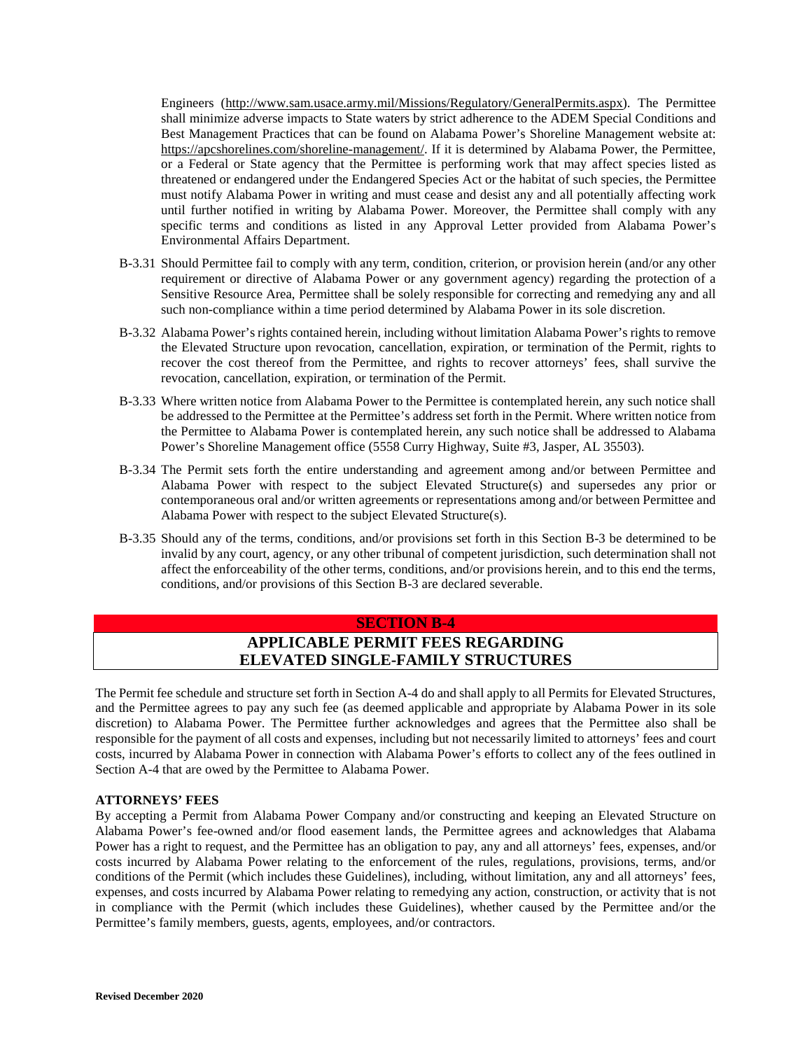Engineers (http://www.sam.usace.army.mil/Missions/Regulatory/GeneralPermits.aspx). The Permittee shall minimize adverse impacts to State waters by strict adherence to the ADEM Special Conditions and Best Management Practices that can be found on Alabama Power's Shoreline Management website at: https://apcshorelines.com/shoreline-management/. If it is determined by Alabama Power, the Permittee, or a Federal or State agency that the Permittee is performing work that may affect species listed as threatened or endangered under the Endangered Species Act or the habitat of such species, the Permittee must notify Alabama Power in writing and must cease and desist any and all potentially affecting work until further notified in writing by Alabama Power. Moreover, the Permittee shall comply with any specific terms and conditions as listed in any Approval Letter provided from Alabama Power's Environmental Affairs Department.

- B-3.31 Should Permittee fail to comply with any term, condition, criterion, or provision herein (and/or any other requirement or directive of Alabama Power or any government agency) regarding the protection of a Sensitive Resource Area, Permittee shall be solely responsible for correcting and remedying any and all such non-compliance within a time period determined by Alabama Power in its sole discretion.
- B-3.32 Alabama Power's rights contained herein, including without limitation Alabama Power's rights to remove the Elevated Structure upon revocation, cancellation, expiration, or termination of the Permit, rights to recover the cost thereof from the Permittee, and rights to recover attorneys' fees, shall survive the revocation, cancellation, expiration, or termination of the Permit.
- B-3.33 Where written notice from Alabama Power to the Permittee is contemplated herein, any such notice shall be addressed to the Permittee at the Permittee's address set forth in the Permit. Where written notice from the Permittee to Alabama Power is contemplated herein, any such notice shall be addressed to Alabama Power's Shoreline Management office (5558 Curry Highway, Suite #3, Jasper, AL 35503).
- B-3.34 The Permit sets forth the entire understanding and agreement among and/or between Permittee and Alabama Power with respect to the subject Elevated Structure(s) and supersedes any prior or contemporaneous oral and/or written agreements or representations among and/or between Permittee and Alabama Power with respect to the subject Elevated Structure(s).
- B-3.35 Should any of the terms, conditions, and/or provisions set forth in this Section B-3 be determined to be invalid by any court, agency, or any other tribunal of competent jurisdiction, such determination shall not affect the enforceability of the other terms, conditions, and/or provisions herein, and to this end the terms, conditions, and/or provisions of this Section B-3 are declared severable.

#### **SECTION B-4**

### **APPLICABLE PERMIT FEES REGARDING ELEVATED SINGLE-FAMILY STRUCTURES**

The Permit fee schedule and structure set forth in Section A-4 do and shall apply to all Permits for Elevated Structures, and the Permittee agrees to pay any such fee (as deemed applicable and appropriate by Alabama Power in its sole discretion) to Alabama Power. The Permittee further acknowledges and agrees that the Permittee also shall be responsible for the payment of all costs and expenses, including but not necessarily limited to attorneys' fees and court costs, incurred by Alabama Power in connection with Alabama Power's efforts to collect any of the fees outlined in Section A-4 that are owed by the Permittee to Alabama Power.

#### **ATTORNEYS' FEES**

By accepting a Permit from Alabama Power Company and/or constructing and keeping an Elevated Structure on Alabama Power's fee-owned and/or flood easement lands, the Permittee agrees and acknowledges that Alabama Power has a right to request, and the Permittee has an obligation to pay, any and all attorneys' fees, expenses, and/or costs incurred by Alabama Power relating to the enforcement of the rules, regulations, provisions, terms, and/or conditions of the Permit (which includes these Guidelines), including, without limitation, any and all attorneys' fees, expenses, and costs incurred by Alabama Power relating to remedying any action, construction, or activity that is not in compliance with the Permit (which includes these Guidelines), whether caused by the Permittee and/or the Permittee's family members, guests, agents, employees, and/or contractors.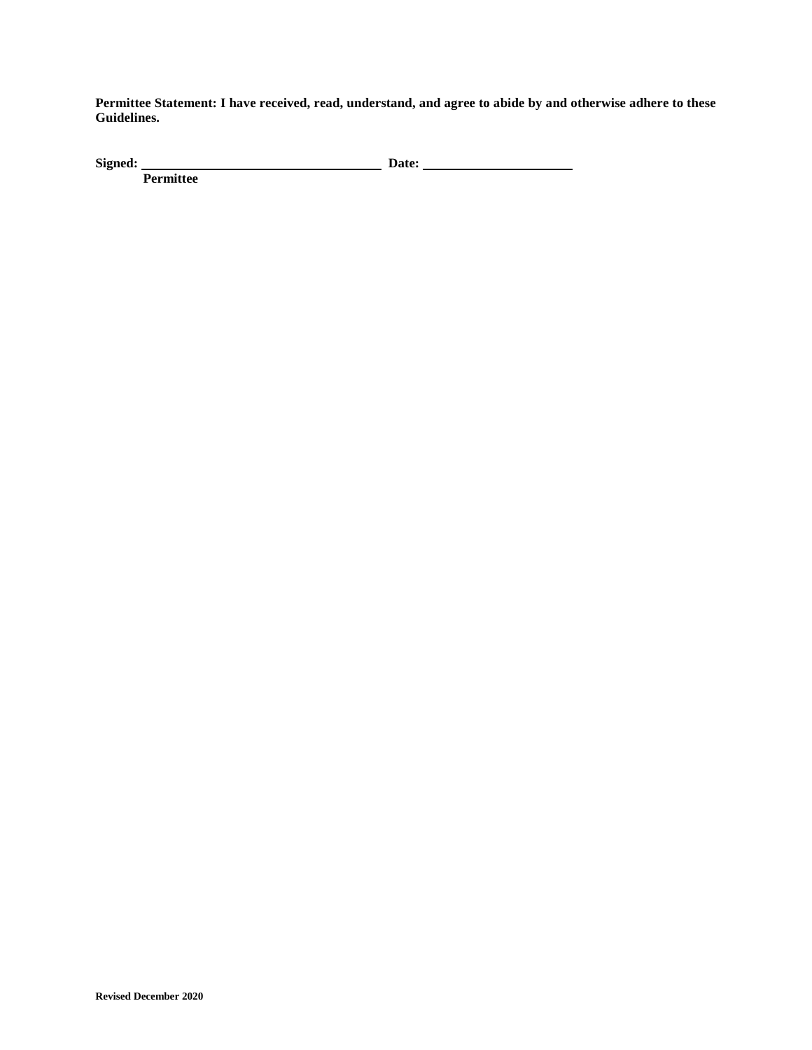**Permittee Statement: I have received, read, understand, and agree to abide by and otherwise adhere to these Guidelines.** 

Signed: Date:

**Permittee**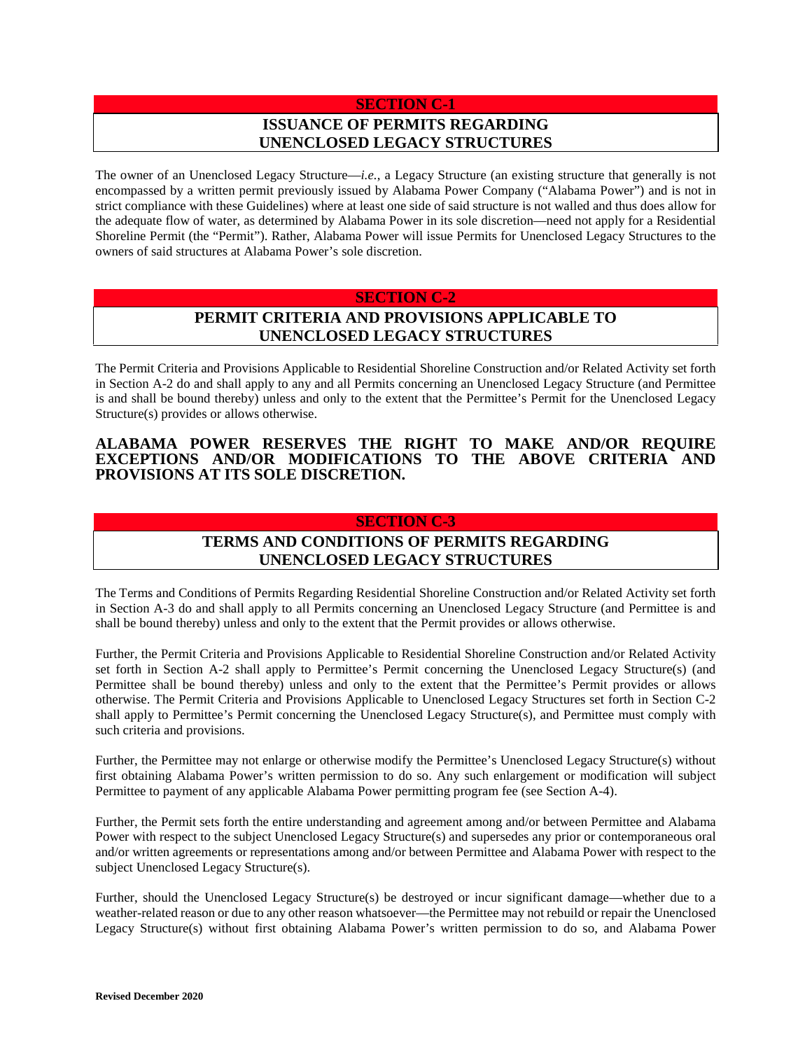# **SECTION C-1 ISSUANCE OF PERMITS REGARDING UNENCLOSED LEGACY STRUCTURES**

The owner of an Unenclosed Legacy Structure—*i.e.*, a Legacy Structure (an existing structure that generally is not encompassed by a written permit previously issued by Alabama Power Company ("Alabama Power") and is not in strict compliance with these Guidelines) where at least one side of said structure is not walled and thus does allow for the adequate flow of water, as determined by Alabama Power in its sole discretion—need not apply for a Residential Shoreline Permit (the "Permit"). Rather, Alabama Power will issue Permits for Unenclosed Legacy Structures to the owners of said structures at Alabama Power's sole discretion.

### **SECTION C-2**

# **PERMIT CRITERIA AND PROVISIONS APPLICABLE TO UNENCLOSED LEGACY STRUCTURES**

The Permit Criteria and Provisions Applicable to Residential Shoreline Construction and/or Related Activity set forth in Section A-2 do and shall apply to any and all Permits concerning an Unenclosed Legacy Structure (and Permittee is and shall be bound thereby) unless and only to the extent that the Permittee's Permit for the Unenclosed Legacy Structure(s) provides or allows otherwise.

### **ALABAMA POWER RESERVES THE RIGHT TO MAKE AND/OR REQUIRE EXCEPTIONS AND/OR MODIFICATIONS TO THE ABOVE CRITERIA AND PROVISIONS AT ITS SOLE DISCRETION.**

### **SECTION C-3**

# **TERMS AND CONDITIONS OF PERMITS REGARDING UNENCLOSED LEGACY STRUCTURES**

The Terms and Conditions of Permits Regarding Residential Shoreline Construction and/or Related Activity set forth in Section A-3 do and shall apply to all Permits concerning an Unenclosed Legacy Structure (and Permittee is and shall be bound thereby) unless and only to the extent that the Permit provides or allows otherwise.

Further, the Permit Criteria and Provisions Applicable to Residential Shoreline Construction and/or Related Activity set forth in Section A-2 shall apply to Permittee's Permit concerning the Unenclosed Legacy Structure(s) (and Permittee shall be bound thereby) unless and only to the extent that the Permittee's Permit provides or allows otherwise. The Permit Criteria and Provisions Applicable to Unenclosed Legacy Structures set forth in Section C-2 shall apply to Permittee's Permit concerning the Unenclosed Legacy Structure(s), and Permittee must comply with such criteria and provisions.

Further, the Permittee may not enlarge or otherwise modify the Permittee's Unenclosed Legacy Structure(s) without first obtaining Alabama Power's written permission to do so. Any such enlargement or modification will subject Permittee to payment of any applicable Alabama Power permitting program fee (see Section A-4).

Further, the Permit sets forth the entire understanding and agreement among and/or between Permittee and Alabama Power with respect to the subject Unenclosed Legacy Structure(s) and supersedes any prior or contemporaneous oral and/or written agreements or representations among and/or between Permittee and Alabama Power with respect to the subject Unenclosed Legacy Structure(s).

Further, should the Unenclosed Legacy Structure(s) be destroyed or incur significant damage—whether due to a weather-related reason or due to any other reason whatsoever—the Permittee may not rebuild or repair the Unenclosed Legacy Structure(s) without first obtaining Alabama Power's written permission to do so, and Alabama Power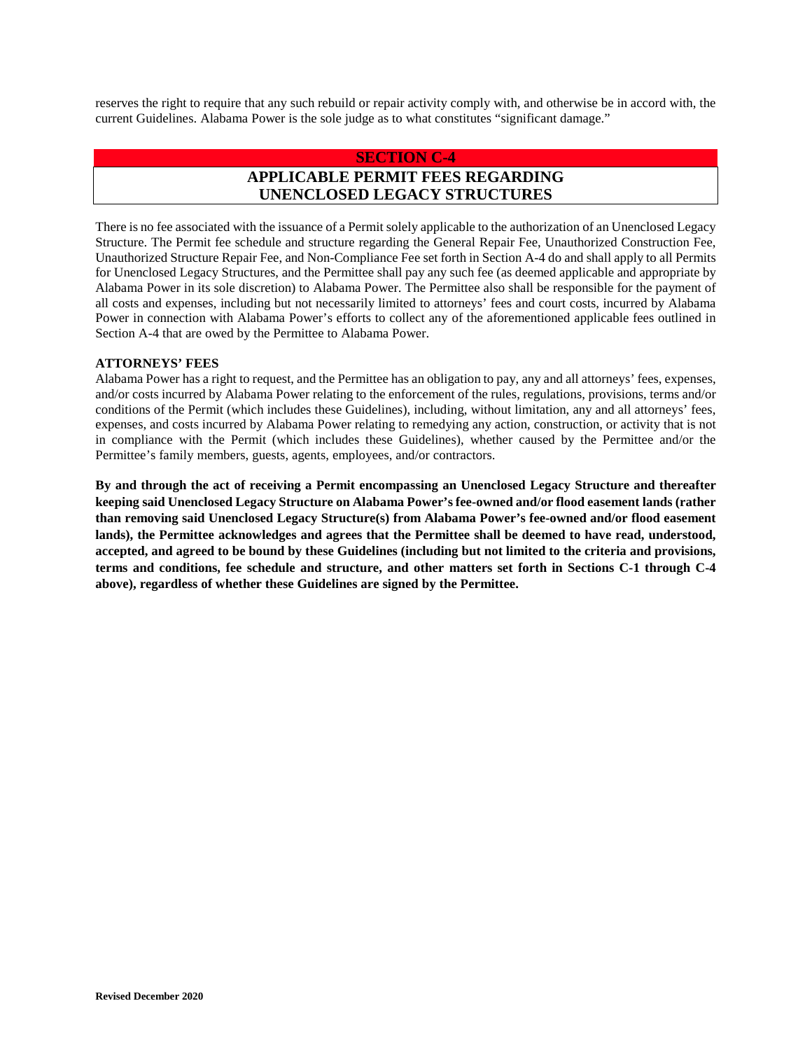reserves the right to require that any such rebuild or repair activity comply with, and otherwise be in accord with, the current Guidelines. Alabama Power is the sole judge as to what constitutes "significant damage."

#### **SECTION C-4**

# **APPLICABLE PERMIT FEES REGARDING UNENCLOSED LEGACY STRUCTURES**

There is no fee associated with the issuance of a Permit solely applicable to the authorization of an Unenclosed Legacy Structure. The Permit fee schedule and structure regarding the General Repair Fee, Unauthorized Construction Fee, Unauthorized Structure Repair Fee, and Non-Compliance Fee set forth in Section A-4 do and shall apply to all Permits for Unenclosed Legacy Structures, and the Permittee shall pay any such fee (as deemed applicable and appropriate by Alabama Power in its sole discretion) to Alabama Power. The Permittee also shall be responsible for the payment of all costs and expenses, including but not necessarily limited to attorneys' fees and court costs, incurred by Alabama Power in connection with Alabama Power's efforts to collect any of the aforementioned applicable fees outlined in Section A-4 that are owed by the Permittee to Alabama Power.

#### **ATTORNEYS' FEES**

Alabama Power has a right to request, and the Permittee has an obligation to pay, any and all attorneys' fees, expenses, and/or costs incurred by Alabama Power relating to the enforcement of the rules, regulations, provisions, terms and/or conditions of the Permit (which includes these Guidelines), including, without limitation, any and all attorneys' fees, expenses, and costs incurred by Alabama Power relating to remedying any action, construction, or activity that is not in compliance with the Permit (which includes these Guidelines), whether caused by the Permittee and/or the Permittee's family members, guests, agents, employees, and/or contractors.

**By and through the act of receiving a Permit encompassing an Unenclosed Legacy Structure and thereafter keeping said Unenclosed Legacy Structure on Alabama Power's fee-owned and/or flood easement lands (rather than removing said Unenclosed Legacy Structure(s) from Alabama Power's fee-owned and/or flood easement lands), the Permittee acknowledges and agrees that the Permittee shall be deemed to have read, understood, accepted, and agreed to be bound by these Guidelines (including but not limited to the criteria and provisions, terms and conditions, fee schedule and structure, and other matters set forth in Sections C-1 through C-4 above), regardless of whether these Guidelines are signed by the Permittee.**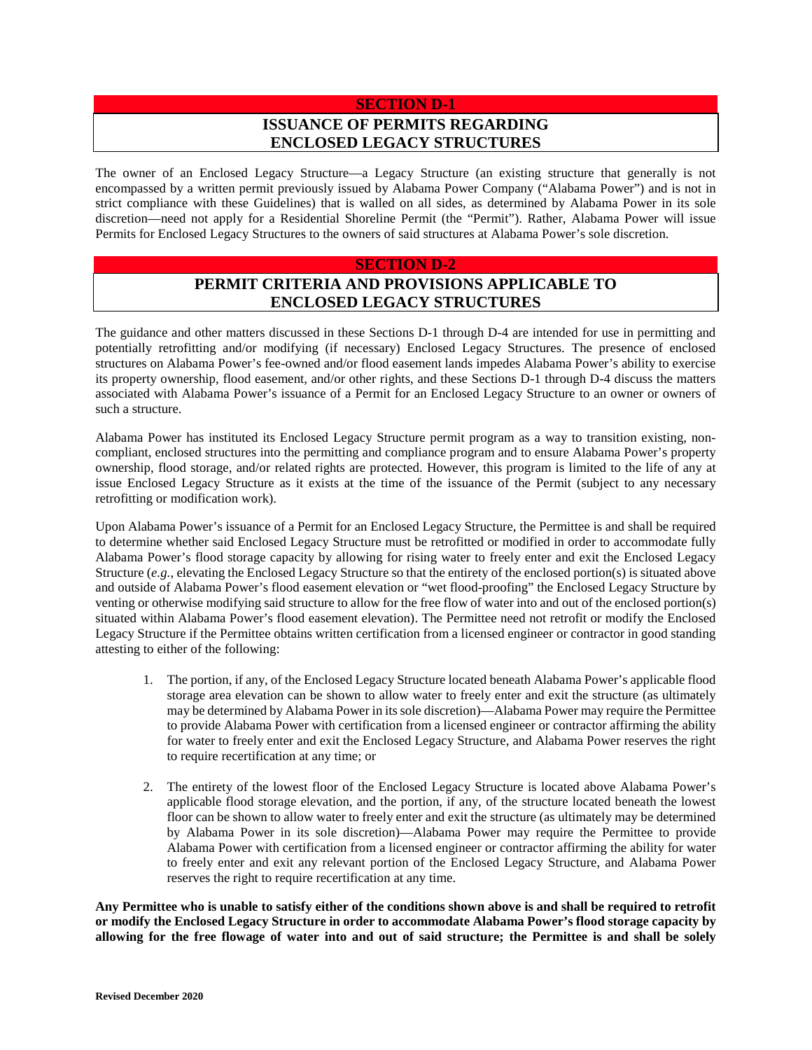# **SECTION D-1 ISSUANCE OF PERMITS REGARDING ENCLOSED LEGACY STRUCTURES**

The owner of an Enclosed Legacy Structure—a Legacy Structure (an existing structure that generally is not encompassed by a written permit previously issued by Alabama Power Company ("Alabama Power") and is not in strict compliance with these Guidelines) that is walled on all sides, as determined by Alabama Power in its sole discretion—need not apply for a Residential Shoreline Permit (the "Permit"). Rather, Alabama Power will issue Permits for Enclosed Legacy Structures to the owners of said structures at Alabama Power's sole discretion.

#### **SECTION D-2**

# **PERMIT CRITERIA AND PROVISIONS APPLICABLE TO ENCLOSED LEGACY STRUCTURES**

The guidance and other matters discussed in these Sections D-1 through D-4 are intended for use in permitting and potentially retrofitting and/or modifying (if necessary) Enclosed Legacy Structures. The presence of enclosed structures on Alabama Power's fee-owned and/or flood easement lands impedes Alabama Power's ability to exercise its property ownership, flood easement, and/or other rights, and these Sections D-1 through D-4 discuss the matters associated with Alabama Power's issuance of a Permit for an Enclosed Legacy Structure to an owner or owners of such a structure.

Alabama Power has instituted its Enclosed Legacy Structure permit program as a way to transition existing, noncompliant, enclosed structures into the permitting and compliance program and to ensure Alabama Power's property ownership, flood storage, and/or related rights are protected. However, this program is limited to the life of any at issue Enclosed Legacy Structure as it exists at the time of the issuance of the Permit (subject to any necessary retrofitting or modification work).

Upon Alabama Power's issuance of a Permit for an Enclosed Legacy Structure, the Permittee is and shall be required to determine whether said Enclosed Legacy Structure must be retrofitted or modified in order to accommodate fully Alabama Power's flood storage capacity by allowing for rising water to freely enter and exit the Enclosed Legacy Structure (*e.g.*, elevating the Enclosed Legacy Structure so that the entirety of the enclosed portion(s) is situated above and outside of Alabama Power's flood easement elevation or "wet flood-proofing" the Enclosed Legacy Structure by venting or otherwise modifying said structure to allow for the free flow of water into and out of the enclosed portion(s) situated within Alabama Power's flood easement elevation). The Permittee need not retrofit or modify the Enclosed Legacy Structure if the Permittee obtains written certification from a licensed engineer or contractor in good standing attesting to either of the following:

- 1. The portion, if any, of the Enclosed Legacy Structure located beneath Alabama Power's applicable flood storage area elevation can be shown to allow water to freely enter and exit the structure (as ultimately may be determined by Alabama Power in its sole discretion)—Alabama Power may require the Permittee to provide Alabama Power with certification from a licensed engineer or contractor affirming the ability for water to freely enter and exit the Enclosed Legacy Structure, and Alabama Power reserves the right to require recertification at any time; or
- 2. The entirety of the lowest floor of the Enclosed Legacy Structure is located above Alabama Power's applicable flood storage elevation, and the portion, if any, of the structure located beneath the lowest floor can be shown to allow water to freely enter and exit the structure (as ultimately may be determined by Alabama Power in its sole discretion)—Alabama Power may require the Permittee to provide Alabama Power with certification from a licensed engineer or contractor affirming the ability for water to freely enter and exit any relevant portion of the Enclosed Legacy Structure, and Alabama Power reserves the right to require recertification at any time.

**Any Permittee who is unable to satisfy either of the conditions shown above is and shall be required to retrofit or modify the Enclosed Legacy Structure in order to accommodate Alabama Power's flood storage capacity by allowing for the free flowage of water into and out of said structure; the Permittee is and shall be solely**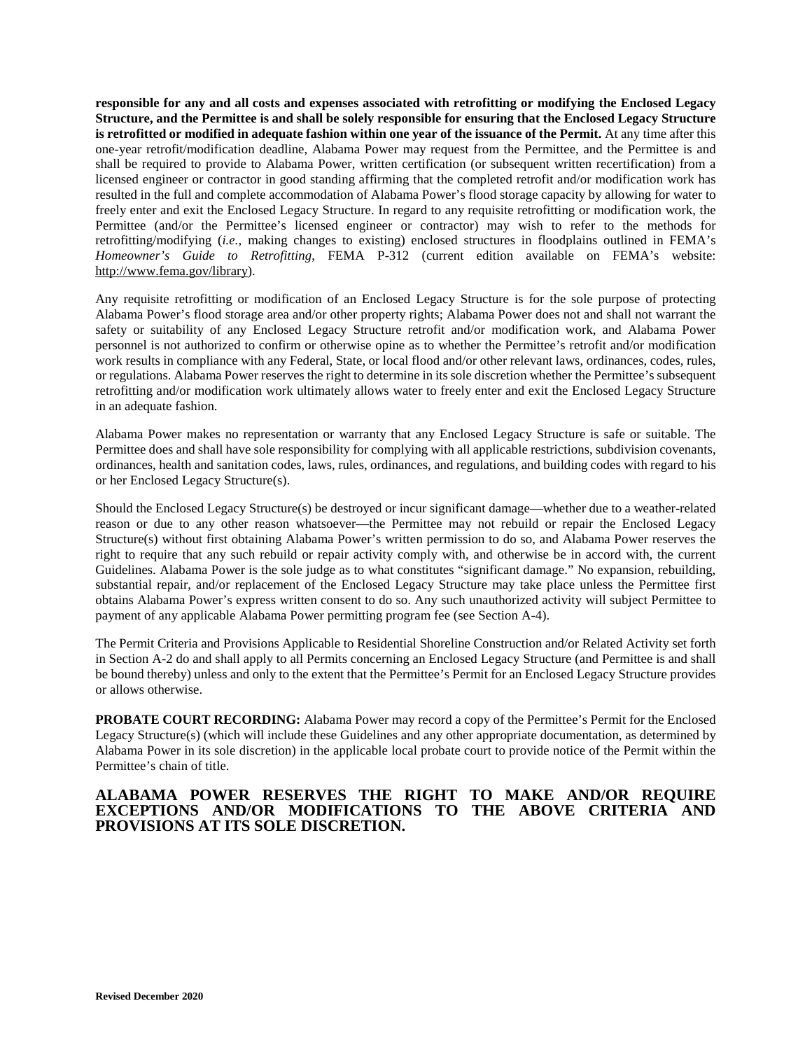**responsible for any and all costs and expenses associated with retrofitting or modifying the Enclosed Legacy Structure, and the Permittee is and shall be solely responsible for ensuring that the Enclosed Legacy Structure is retrofitted or modified in adequate fashion within one year of the issuance of the Permit.** At any time after this one-year retrofit/modification deadline, Alabama Power may request from the Permittee, and the Permittee is and shall be required to provide to Alabama Power, written certification (or subsequent written recertification) from a licensed engineer or contractor in good standing affirming that the completed retrofit and/or modification work has resulted in the full and complete accommodation of Alabama Power's flood storage capacity by allowing for water to freely enter and exit the Enclosed Legacy Structure. In regard to any requisite retrofitting or modification work, the Permittee (and/or the Permittee's licensed engineer or contractor) may wish to refer to the methods for retrofitting/modifying (*i.e.*, making changes to existing) enclosed structures in floodplains outlined in FEMA's *Homeowner's Guide to Retrofitting*, FEMA P-312 (current edition available on FEMA's website: http://www.fema.gov/library).

Any requisite retrofitting or modification of an Enclosed Legacy Structure is for the sole purpose of protecting Alabama Power's flood storage area and/or other property rights; Alabama Power does not and shall not warrant the safety or suitability of any Enclosed Legacy Structure retrofit and/or modification work, and Alabama Power personnel is not authorized to confirm or otherwise opine as to whether the Permittee's retrofit and/or modification work results in compliance with any Federal, State, or local flood and/or other relevant laws, ordinances, codes, rules, or regulations. Alabama Power reserves the right to determine in its sole discretion whether the Permittee's subsequent retrofitting and/or modification work ultimately allows water to freely enter and exit the Enclosed Legacy Structure in an adequate fashion.

Alabama Power makes no representation or warranty that any Enclosed Legacy Structure is safe or suitable. The Permittee does and shall have sole responsibility for complying with all applicable restrictions, subdivision covenants, ordinances, health and sanitation codes, laws, rules, ordinances, and regulations, and building codes with regard to his or her Enclosed Legacy Structure(s).

Should the Enclosed Legacy Structure(s) be destroyed or incur significant damage—whether due to a weather-related reason or due to any other reason whatsoever—the Permittee may not rebuild or repair the Enclosed Legacy Structure(s) without first obtaining Alabama Power's written permission to do so, and Alabama Power reserves the right to require that any such rebuild or repair activity comply with, and otherwise be in accord with, the current Guidelines. Alabama Power is the sole judge as to what constitutes "significant damage." No expansion, rebuilding, substantial repair, and/or replacement of the Enclosed Legacy Structure may take place unless the Permittee first obtains Alabama Power's express written consent to do so. Any such unauthorized activity will subject Permittee to payment of any applicable Alabama Power permitting program fee (see Section A-4).

The Permit Criteria and Provisions Applicable to Residential Shoreline Construction and/or Related Activity set forth in Section A-2 do and shall apply to all Permits concerning an Enclosed Legacy Structure (and Permittee is and shall be bound thereby) unless and only to the extent that the Permittee's Permit for an Enclosed Legacy Structure provides or allows otherwise.

**PROBATE COURT RECORDING:** Alabama Power may record a copy of the Permittee's Permit for the Enclosed Legacy Structure(s) (which will include these Guidelines and any other appropriate documentation, as determined by Alabama Power in its sole discretion) in the applicable local probate court to provide notice of the Permit within the Permittee's chain of title.

### **ALABAMA POWER RESERVES THE RIGHT TO MAKE AND/OR REQUIRE EXCEPTIONS AND/OR MODIFICATIONS TO THE ABOVE CRITERIA AND PROVISIONS AT ITS SOLE DISCRETION.**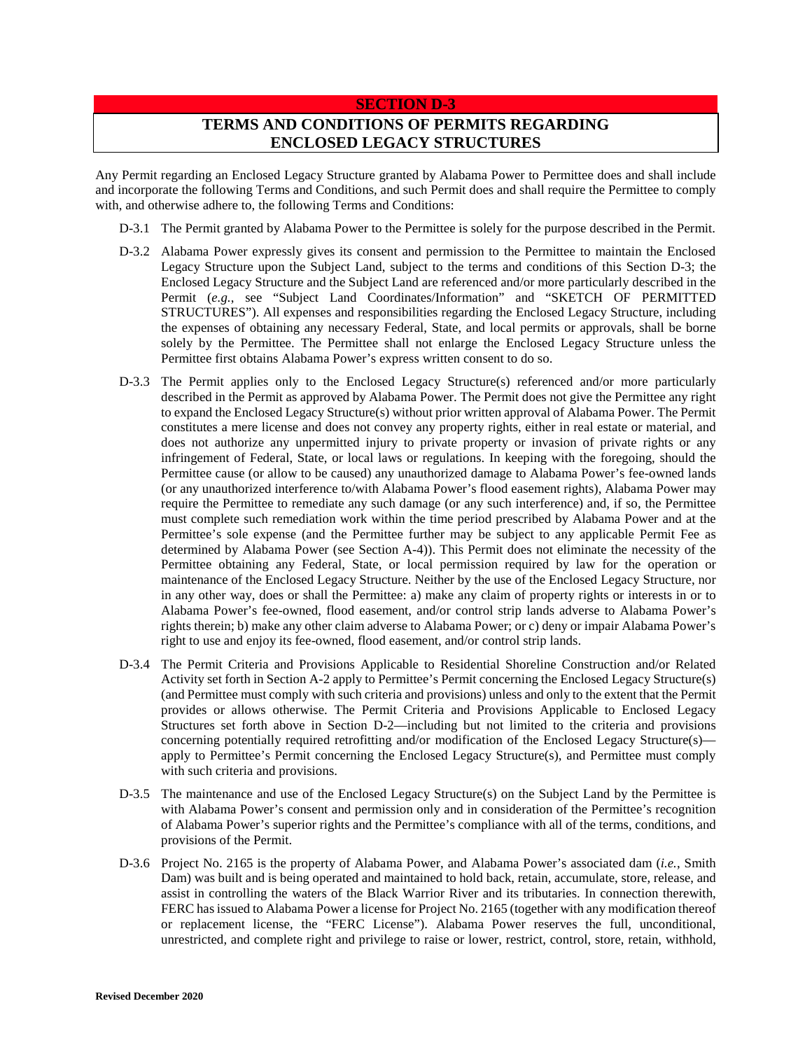#### **SECTION D-3**

# **TERMS AND CONDITIONS OF PERMITS REGARDING ENCLOSED LEGACY STRUCTURES**

Any Permit regarding an Enclosed Legacy Structure granted by Alabama Power to Permittee does and shall include and incorporate the following Terms and Conditions, and such Permit does and shall require the Permittee to comply with, and otherwise adhere to, the following Terms and Conditions:

- D-3.1 The Permit granted by Alabama Power to the Permittee is solely for the purpose described in the Permit.
- D-3.2 Alabama Power expressly gives its consent and permission to the Permittee to maintain the Enclosed Legacy Structure upon the Subject Land, subject to the terms and conditions of this Section D-3; the Enclosed Legacy Structure and the Subject Land are referenced and/or more particularly described in the Permit (*e.g.*, see "Subject Land Coordinates/Information" and "SKETCH OF PERMITTED STRUCTURES"). All expenses and responsibilities regarding the Enclosed Legacy Structure, including the expenses of obtaining any necessary Federal, State, and local permits or approvals, shall be borne solely by the Permittee. The Permittee shall not enlarge the Enclosed Legacy Structure unless the Permittee first obtains Alabama Power's express written consent to do so.
- D-3.3 The Permit applies only to the Enclosed Legacy Structure(s) referenced and/or more particularly described in the Permit as approved by Alabama Power. The Permit does not give the Permittee any right to expand the Enclosed Legacy Structure(s) without prior written approval of Alabama Power. The Permit constitutes a mere license and does not convey any property rights, either in real estate or material, and does not authorize any unpermitted injury to private property or invasion of private rights or any infringement of Federal, State, or local laws or regulations. In keeping with the foregoing, should the Permittee cause (or allow to be caused) any unauthorized damage to Alabama Power's fee-owned lands (or any unauthorized interference to/with Alabama Power's flood easement rights), Alabama Power may require the Permittee to remediate any such damage (or any such interference) and, if so, the Permittee must complete such remediation work within the time period prescribed by Alabama Power and at the Permittee's sole expense (and the Permittee further may be subject to any applicable Permit Fee as determined by Alabama Power (see Section A-4)). This Permit does not eliminate the necessity of the Permittee obtaining any Federal, State, or local permission required by law for the operation or maintenance of the Enclosed Legacy Structure. Neither by the use of the Enclosed Legacy Structure, nor in any other way, does or shall the Permittee: a) make any claim of property rights or interests in or to Alabama Power's fee-owned, flood easement, and/or control strip lands adverse to Alabama Power's rights therein; b) make any other claim adverse to Alabama Power; or c) deny or impair Alabama Power's right to use and enjoy its fee-owned, flood easement, and/or control strip lands.
- D-3.4 The Permit Criteria and Provisions Applicable to Residential Shoreline Construction and/or Related Activity set forth in Section A-2 apply to Permittee's Permit concerning the Enclosed Legacy Structure(s) (and Permittee must comply with such criteria and provisions) unless and only to the extent that the Permit provides or allows otherwise. The Permit Criteria and Provisions Applicable to Enclosed Legacy Structures set forth above in Section D-2—including but not limited to the criteria and provisions concerning potentially required retrofitting and/or modification of the Enclosed Legacy Structure(s) apply to Permittee's Permit concerning the Enclosed Legacy Structure(s), and Permittee must comply with such criteria and provisions.
- D-3.5 The maintenance and use of the Enclosed Legacy Structure(s) on the Subject Land by the Permittee is with Alabama Power's consent and permission only and in consideration of the Permittee's recognition of Alabama Power's superior rights and the Permittee's compliance with all of the terms, conditions, and provisions of the Permit.
- D-3.6 Project No. 2165 is the property of Alabama Power, and Alabama Power's associated dam (*i.e.*, Smith Dam) was built and is being operated and maintained to hold back, retain, accumulate, store, release, and assist in controlling the waters of the Black Warrior River and its tributaries. In connection therewith, FERC has issued to Alabama Power a license for Project No. 2165 (together with any modification thereof or replacement license, the "FERC License"). Alabama Power reserves the full, unconditional, unrestricted, and complete right and privilege to raise or lower, restrict, control, store, retain, withhold,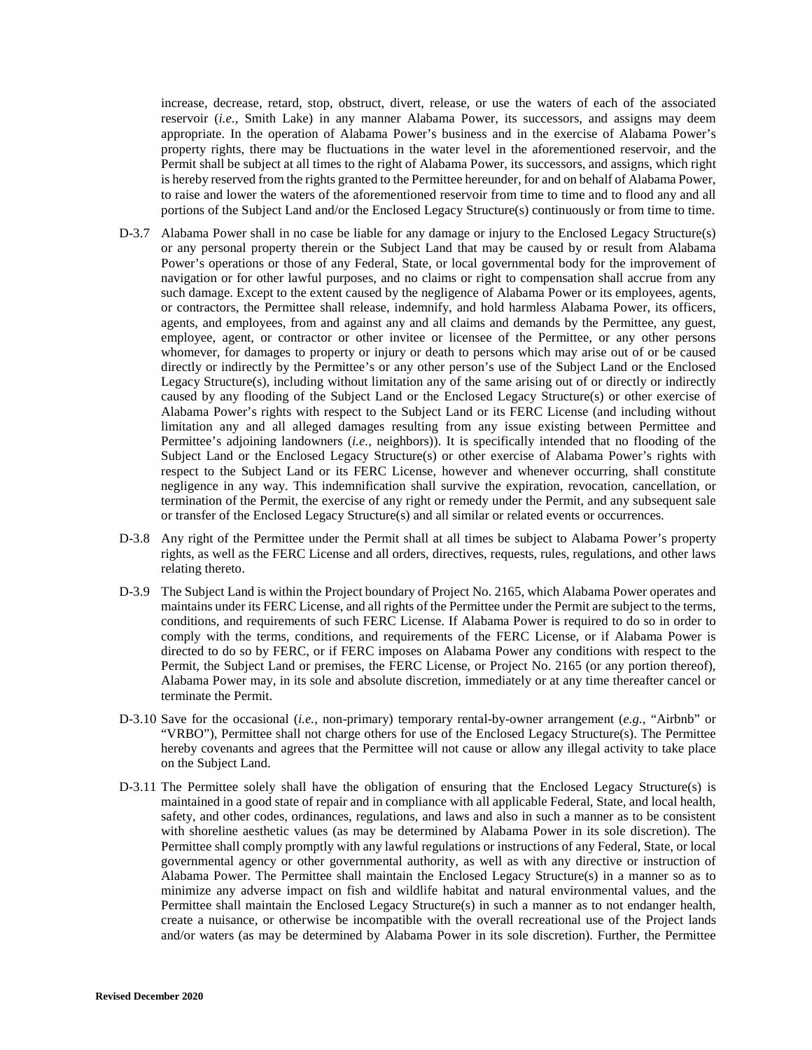increase, decrease, retard, stop, obstruct, divert, release, or use the waters of each of the associated reservoir (*i.e.*, Smith Lake) in any manner Alabama Power, its successors, and assigns may deem appropriate. In the operation of Alabama Power's business and in the exercise of Alabama Power's property rights, there may be fluctuations in the water level in the aforementioned reservoir, and the Permit shall be subject at all times to the right of Alabama Power, its successors, and assigns, which right is hereby reserved from the rights granted to the Permittee hereunder, for and on behalf of Alabama Power, to raise and lower the waters of the aforementioned reservoir from time to time and to flood any and all portions of the Subject Land and/or the Enclosed Legacy Structure(s) continuously or from time to time.

- D-3.7 Alabama Power shall in no case be liable for any damage or injury to the Enclosed Legacy Structure(s) or any personal property therein or the Subject Land that may be caused by or result from Alabama Power's operations or those of any Federal, State, or local governmental body for the improvement of navigation or for other lawful purposes, and no claims or right to compensation shall accrue from any such damage. Except to the extent caused by the negligence of Alabama Power or its employees, agents, or contractors, the Permittee shall release, indemnify, and hold harmless Alabama Power, its officers, agents, and employees, from and against any and all claims and demands by the Permittee, any guest, employee, agent, or contractor or other invitee or licensee of the Permittee, or any other persons whomever, for damages to property or injury or death to persons which may arise out of or be caused directly or indirectly by the Permittee's or any other person's use of the Subject Land or the Enclosed Legacy Structure(s), including without limitation any of the same arising out of or directly or indirectly caused by any flooding of the Subject Land or the Enclosed Legacy Structure(s) or other exercise of Alabama Power's rights with respect to the Subject Land or its FERC License (and including without limitation any and all alleged damages resulting from any issue existing between Permittee and Permittee's adjoining landowners (*i.e.*, neighbors)). It is specifically intended that no flooding of the Subject Land or the Enclosed Legacy Structure(s) or other exercise of Alabama Power's rights with respect to the Subject Land or its FERC License, however and whenever occurring, shall constitute negligence in any way. This indemnification shall survive the expiration, revocation, cancellation, or termination of the Permit, the exercise of any right or remedy under the Permit, and any subsequent sale or transfer of the Enclosed Legacy Structure(s) and all similar or related events or occurrences.
- D-3.8 Any right of the Permittee under the Permit shall at all times be subject to Alabama Power's property rights, as well as the FERC License and all orders, directives, requests, rules, regulations, and other laws relating thereto.
- D-3.9 The Subject Land is within the Project boundary of Project No. 2165, which Alabama Power operates and maintains under its FERC License, and all rights of the Permittee under the Permit are subject to the terms, conditions, and requirements of such FERC License. If Alabama Power is required to do so in order to comply with the terms, conditions, and requirements of the FERC License, or if Alabama Power is directed to do so by FERC, or if FERC imposes on Alabama Power any conditions with respect to the Permit, the Subject Land or premises, the FERC License, or Project No. 2165 (or any portion thereof), Alabama Power may, in its sole and absolute discretion, immediately or at any time thereafter cancel or terminate the Permit.
- D-3.10 Save for the occasional (*i.e.*, non-primary) temporary rental-by-owner arrangement (*e.g.*, "Airbnb" or "VRBO"), Permittee shall not charge others for use of the Enclosed Legacy Structure(s). The Permittee hereby covenants and agrees that the Permittee will not cause or allow any illegal activity to take place on the Subject Land.
- D-3.11 The Permittee solely shall have the obligation of ensuring that the Enclosed Legacy Structure(s) is maintained in a good state of repair and in compliance with all applicable Federal, State, and local health, safety, and other codes, ordinances, regulations, and laws and also in such a manner as to be consistent with shoreline aesthetic values (as may be determined by Alabama Power in its sole discretion). The Permittee shall comply promptly with any lawful regulations or instructions of any Federal, State, or local governmental agency or other governmental authority, as well as with any directive or instruction of Alabama Power. The Permittee shall maintain the Enclosed Legacy Structure(s) in a manner so as to minimize any adverse impact on fish and wildlife habitat and natural environmental values, and the Permittee shall maintain the Enclosed Legacy Structure(s) in such a manner as to not endanger health, create a nuisance, or otherwise be incompatible with the overall recreational use of the Project lands and/or waters (as may be determined by Alabama Power in its sole discretion). Further, the Permittee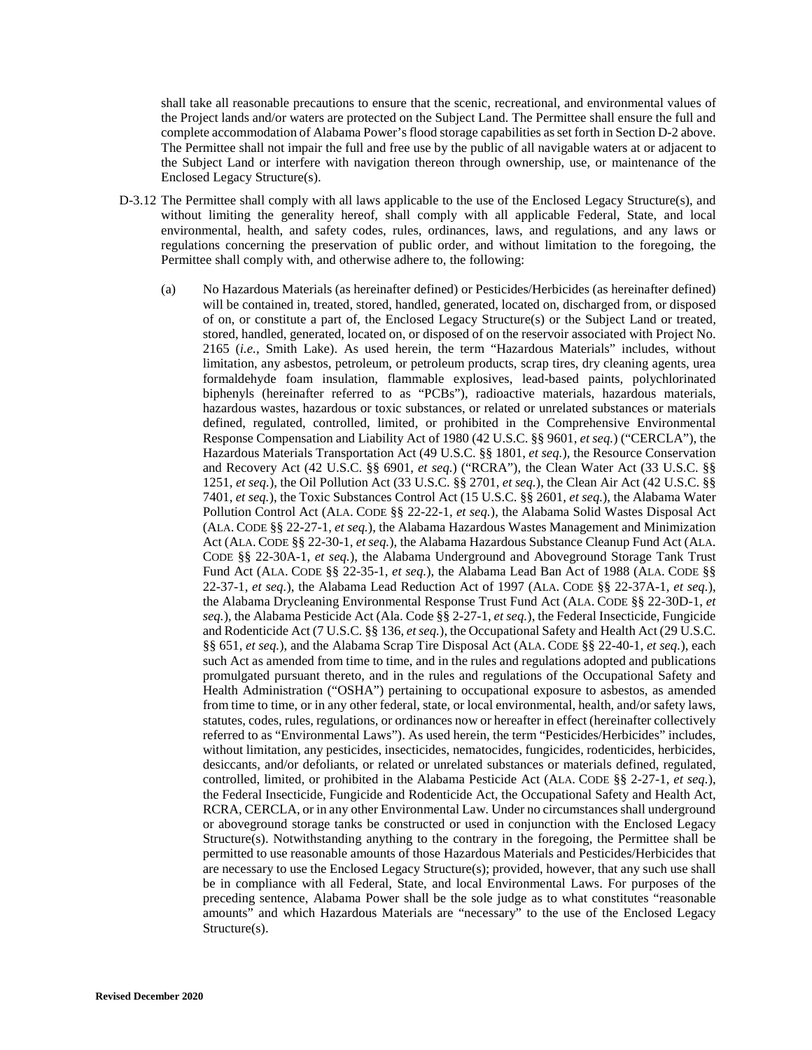shall take all reasonable precautions to ensure that the scenic, recreational, and environmental values of the Project lands and/or waters are protected on the Subject Land. The Permittee shall ensure the full and complete accommodation of Alabama Power's flood storage capabilities as set forth in Section D-2 above. The Permittee shall not impair the full and free use by the public of all navigable waters at or adjacent to the Subject Land or interfere with navigation thereon through ownership, use, or maintenance of the Enclosed Legacy Structure(s).

- D-3.12 The Permittee shall comply with all laws applicable to the use of the Enclosed Legacy Structure(s), and without limiting the generality hereof, shall comply with all applicable Federal, State, and local environmental, health, and safety codes, rules, ordinances, laws, and regulations, and any laws or regulations concerning the preservation of public order, and without limitation to the foregoing, the Permittee shall comply with, and otherwise adhere to, the following:
	- (a) No Hazardous Materials (as hereinafter defined) or Pesticides/Herbicides (as hereinafter defined) will be contained in, treated, stored, handled, generated, located on, discharged from, or disposed of on, or constitute a part of, the Enclosed Legacy Structure(s) or the Subject Land or treated, stored, handled, generated, located on, or disposed of on the reservoir associated with Project No. 2165 (*i.e.*, Smith Lake). As used herein, the term "Hazardous Materials" includes, without limitation, any asbestos, petroleum, or petroleum products, scrap tires, dry cleaning agents, urea formaldehyde foam insulation, flammable explosives, lead-based paints, polychlorinated biphenyls (hereinafter referred to as "PCBs"), radioactive materials, hazardous materials, hazardous wastes, hazardous or toxic substances, or related or unrelated substances or materials defined, regulated, controlled, limited, or prohibited in the Comprehensive Environmental Response Compensation and Liability Act of 1980 (42 U.S.C. §§ 9601, *et seq.*) ("CERCLA"), the Hazardous Materials Transportation Act (49 U.S.C. §§ 1801, *et seq.*), the Resource Conservation and Recovery Act (42 U.S.C. §§ 6901, *et seq.*) ("RCRA"), the Clean Water Act (33 U.S.C. §§ 1251, *et seq.*), the Oil Pollution Act (33 U.S.C. §§ 2701, *et seq.*), the Clean Air Act (42 U.S.C. §§ 7401, *et seq.*), the Toxic Substances Control Act (15 U.S.C. §§ 2601, *et seq.*), the Alabama Water Pollution Control Act (ALA. CODE §§ 22-22-1, *et seq.*), the Alabama Solid Wastes Disposal Act (ALA. CODE §§ 22-27-1, *et seq.*), the Alabama Hazardous Wastes Management and Minimization Act (ALA. CODE §§ 22-30-1, *et seq.*), the Alabama Hazardous Substance Cleanup Fund Act (ALA. CODE §§ 22-30A-1, *et seq.*), the Alabama Underground and Aboveground Storage Tank Trust Fund Act (ALA. CODE §§ 22-35-1, *et seq.*), the Alabama Lead Ban Act of 1988 (ALA. CODE §§ 22-37-1, *et seq.*), the Alabama Lead Reduction Act of 1997 (ALA. CODE §§ 22-37A-1, *et seq.*), the Alabama Drycleaning Environmental Response Trust Fund Act (ALA. CODE §§ 22-30D-1, *et seq.*), the Alabama Pesticide Act (Ala. Code §§ 2-27-1, *et seq.*), the Federal Insecticide, Fungicide and Rodenticide Act (7 U.S.C. §§ 136, *et seq.*), the Occupational Safety and Health Act (29 U.S.C. §§ 651, *et seq.*), and the Alabama Scrap Tire Disposal Act (ALA. CODE §§ 22-40-1, *et seq.*), each such Act as amended from time to time, and in the rules and regulations adopted and publications promulgated pursuant thereto, and in the rules and regulations of the Occupational Safety and Health Administration ("OSHA") pertaining to occupational exposure to asbestos, as amended from time to time, or in any other federal, state, or local environmental, health, and/or safety laws, statutes, codes, rules, regulations, or ordinances now or hereafter in effect (hereinafter collectively referred to as "Environmental Laws"). As used herein, the term "Pesticides/Herbicides" includes, without limitation, any pesticides, insecticides, nematocides, fungicides, rodenticides, herbicides, desiccants, and/or defoliants, or related or unrelated substances or materials defined, regulated, controlled, limited, or prohibited in the Alabama Pesticide Act (ALA. CODE §§ 2-27-1, *et seq.*), the Federal Insecticide, Fungicide and Rodenticide Act, the Occupational Safety and Health Act, RCRA, CERCLA, or in any other Environmental Law. Under no circumstances shall underground or aboveground storage tanks be constructed or used in conjunction with the Enclosed Legacy Structure(s). Notwithstanding anything to the contrary in the foregoing, the Permittee shall be permitted to use reasonable amounts of those Hazardous Materials and Pesticides/Herbicides that are necessary to use the Enclosed Legacy Structure(s); provided, however, that any such use shall be in compliance with all Federal, State, and local Environmental Laws. For purposes of the preceding sentence, Alabama Power shall be the sole judge as to what constitutes "reasonable amounts" and which Hazardous Materials are "necessary" to the use of the Enclosed Legacy Structure(s).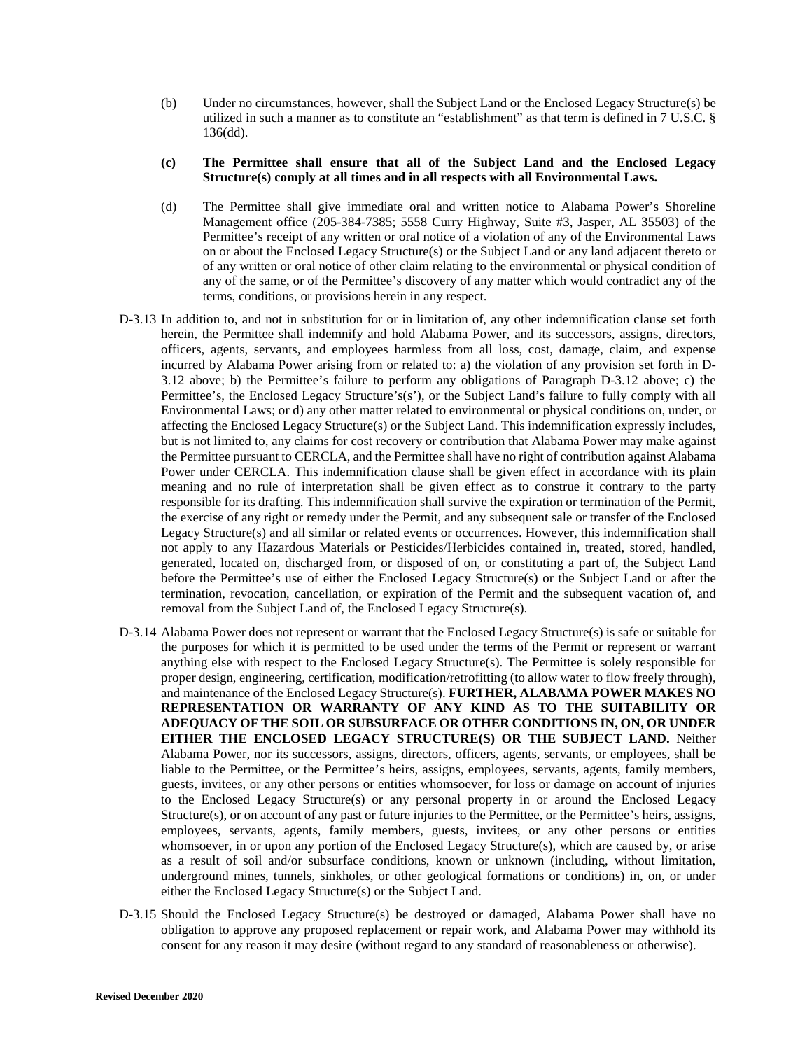- (b) Under no circumstances, however, shall the Subject Land or the Enclosed Legacy Structure(s) be utilized in such a manner as to constitute an "establishment" as that term is defined in 7 U.S.C. § 136(dd).
- **(c) The Permittee shall ensure that all of the Subject Land and the Enclosed Legacy Structure(s) comply at all times and in all respects with all Environmental Laws.**
- (d) The Permittee shall give immediate oral and written notice to Alabama Power's Shoreline Management office (205-384-7385; 5558 Curry Highway, Suite #3, Jasper, AL 35503) of the Permittee's receipt of any written or oral notice of a violation of any of the Environmental Laws on or about the Enclosed Legacy Structure(s) or the Subject Land or any land adjacent thereto or of any written or oral notice of other claim relating to the environmental or physical condition of any of the same, or of the Permittee's discovery of any matter which would contradict any of the terms, conditions, or provisions herein in any respect.
- D-3.13 In addition to, and not in substitution for or in limitation of, any other indemnification clause set forth herein, the Permittee shall indemnify and hold Alabama Power, and its successors, assigns, directors, officers, agents, servants, and employees harmless from all loss, cost, damage, claim, and expense incurred by Alabama Power arising from or related to: a) the violation of any provision set forth in D-3.12 above; b) the Permittee's failure to perform any obligations of Paragraph D-3.12 above; c) the Permittee's, the Enclosed Legacy Structure's(s'), or the Subject Land's failure to fully comply with all Environmental Laws; or d) any other matter related to environmental or physical conditions on, under, or affecting the Enclosed Legacy Structure(s) or the Subject Land. This indemnification expressly includes, but is not limited to, any claims for cost recovery or contribution that Alabama Power may make against the Permittee pursuant to CERCLA, and the Permittee shall have no right of contribution against Alabama Power under CERCLA. This indemnification clause shall be given effect in accordance with its plain meaning and no rule of interpretation shall be given effect as to construe it contrary to the party responsible for its drafting. This indemnification shall survive the expiration or termination of the Permit, the exercise of any right or remedy under the Permit, and any subsequent sale or transfer of the Enclosed Legacy Structure(s) and all similar or related events or occurrences. However, this indemnification shall not apply to any Hazardous Materials or Pesticides/Herbicides contained in, treated, stored, handled, generated, located on, discharged from, or disposed of on, or constituting a part of, the Subject Land before the Permittee's use of either the Enclosed Legacy Structure(s) or the Subject Land or after the termination, revocation, cancellation, or expiration of the Permit and the subsequent vacation of, and removal from the Subject Land of, the Enclosed Legacy Structure(s).
- D-3.14 Alabama Power does not represent or warrant that the Enclosed Legacy Structure(s) is safe or suitable for the purposes for which it is permitted to be used under the terms of the Permit or represent or warrant anything else with respect to the Enclosed Legacy Structure(s). The Permittee is solely responsible for proper design, engineering, certification, modification/retrofitting (to allow water to flow freely through), and maintenance of the Enclosed Legacy Structure(s). **FURTHER, ALABAMA POWER MAKES NO REPRESENTATION OR WARRANTY OF ANY KIND AS TO THE SUITABILITY OR ADEQUACY OF THE SOIL OR SUBSURFACE OR OTHER CONDITIONS IN, ON, OR UNDER EITHER THE ENCLOSED LEGACY STRUCTURE(S) OR THE SUBJECT LAND.** Neither Alabama Power, nor its successors, assigns, directors, officers, agents, servants, or employees, shall be liable to the Permittee, or the Permittee's heirs, assigns, employees, servants, agents, family members, guests, invitees, or any other persons or entities whomsoever, for loss or damage on account of injuries to the Enclosed Legacy Structure(s) or any personal property in or around the Enclosed Legacy Structure(s), or on account of any past or future injuries to the Permittee, or the Permittee's heirs, assigns, employees, servants, agents, family members, guests, invitees, or any other persons or entities whomsoever, in or upon any portion of the Enclosed Legacy Structure(s), which are caused by, or arise as a result of soil and/or subsurface conditions, known or unknown (including, without limitation, underground mines, tunnels, sinkholes, or other geological formations or conditions) in, on, or under either the Enclosed Legacy Structure(s) or the Subject Land.
- D-3.15 Should the Enclosed Legacy Structure(s) be destroyed or damaged, Alabama Power shall have no obligation to approve any proposed replacement or repair work, and Alabama Power may withhold its consent for any reason it may desire (without regard to any standard of reasonableness or otherwise).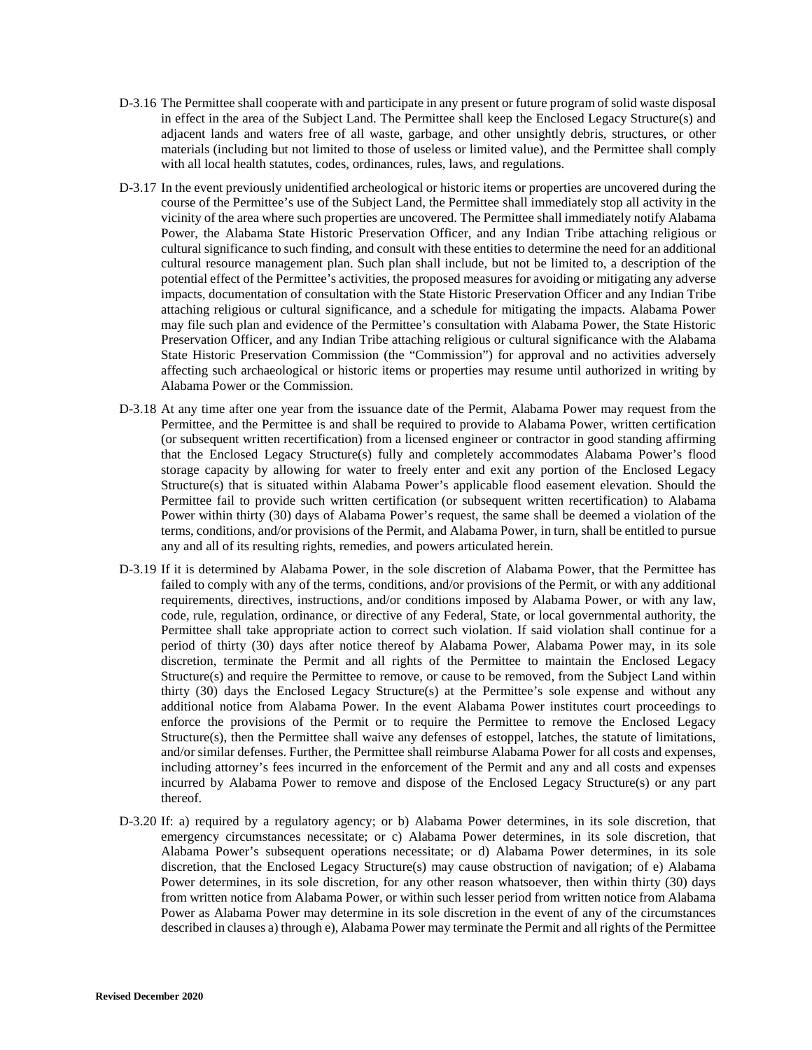- D-3.16 The Permittee shall cooperate with and participate in any present or future program of solid waste disposal in effect in the area of the Subject Land. The Permittee shall keep the Enclosed Legacy Structure(s) and adjacent lands and waters free of all waste, garbage, and other unsightly debris, structures, or other materials (including but not limited to those of useless or limited value), and the Permittee shall comply with all local health statutes, codes, ordinances, rules, laws, and regulations.
- D-3.17 In the event previously unidentified archeological or historic items or properties are uncovered during the course of the Permittee's use of the Subject Land, the Permittee shall immediately stop all activity in the vicinity of the area where such properties are uncovered. The Permittee shall immediately notify Alabama Power, the Alabama State Historic Preservation Officer, and any Indian Tribe attaching religious or cultural significance to such finding, and consult with these entities to determine the need for an additional cultural resource management plan. Such plan shall include, but not be limited to, a description of the potential effect of the Permittee's activities, the proposed measures for avoiding or mitigating any adverse impacts, documentation of consultation with the State Historic Preservation Officer and any Indian Tribe attaching religious or cultural significance, and a schedule for mitigating the impacts. Alabama Power may file such plan and evidence of the Permittee's consultation with Alabama Power, the State Historic Preservation Officer, and any Indian Tribe attaching religious or cultural significance with the Alabama State Historic Preservation Commission (the "Commission") for approval and no activities adversely affecting such archaeological or historic items or properties may resume until authorized in writing by Alabama Power or the Commission.
- D-3.18 At any time after one year from the issuance date of the Permit, Alabama Power may request from the Permittee, and the Permittee is and shall be required to provide to Alabama Power, written certification (or subsequent written recertification) from a licensed engineer or contractor in good standing affirming that the Enclosed Legacy Structure(s) fully and completely accommodates Alabama Power's flood storage capacity by allowing for water to freely enter and exit any portion of the Enclosed Legacy Structure(s) that is situated within Alabama Power's applicable flood easement elevation. Should the Permittee fail to provide such written certification (or subsequent written recertification) to Alabama Power within thirty (30) days of Alabama Power's request, the same shall be deemed a violation of the terms, conditions, and/or provisions of the Permit, and Alabama Power, in turn, shall be entitled to pursue any and all of its resulting rights, remedies, and powers articulated herein.
- D-3.19 If it is determined by Alabama Power, in the sole discretion of Alabama Power, that the Permittee has failed to comply with any of the terms, conditions, and/or provisions of the Permit, or with any additional requirements, directives, instructions, and/or conditions imposed by Alabama Power, or with any law, code, rule, regulation, ordinance, or directive of any Federal, State, or local governmental authority, the Permittee shall take appropriate action to correct such violation. If said violation shall continue for a period of thirty (30) days after notice thereof by Alabama Power, Alabama Power may, in its sole discretion, terminate the Permit and all rights of the Permittee to maintain the Enclosed Legacy Structure(s) and require the Permittee to remove, or cause to be removed, from the Subject Land within thirty (30) days the Enclosed Legacy Structure(s) at the Permittee's sole expense and without any additional notice from Alabama Power. In the event Alabama Power institutes court proceedings to enforce the provisions of the Permit or to require the Permittee to remove the Enclosed Legacy Structure(s), then the Permittee shall waive any defenses of estoppel, latches, the statute of limitations, and/or similar defenses. Further, the Permittee shall reimburse Alabama Power for all costs and expenses, including attorney's fees incurred in the enforcement of the Permit and any and all costs and expenses incurred by Alabama Power to remove and dispose of the Enclosed Legacy Structure(s) or any part thereof.
- D-3.20 If: a) required by a regulatory agency; or b) Alabama Power determines, in its sole discretion, that emergency circumstances necessitate; or c) Alabama Power determines, in its sole discretion, that Alabama Power's subsequent operations necessitate; or d) Alabama Power determines, in its sole discretion, that the Enclosed Legacy Structure(s) may cause obstruction of navigation; of e) Alabama Power determines, in its sole discretion, for any other reason whatsoever, then within thirty (30) days from written notice from Alabama Power, or within such lesser period from written notice from Alabama Power as Alabama Power may determine in its sole discretion in the event of any of the circumstances described in clauses a) through e), Alabama Power may terminate the Permit and all rights of the Permittee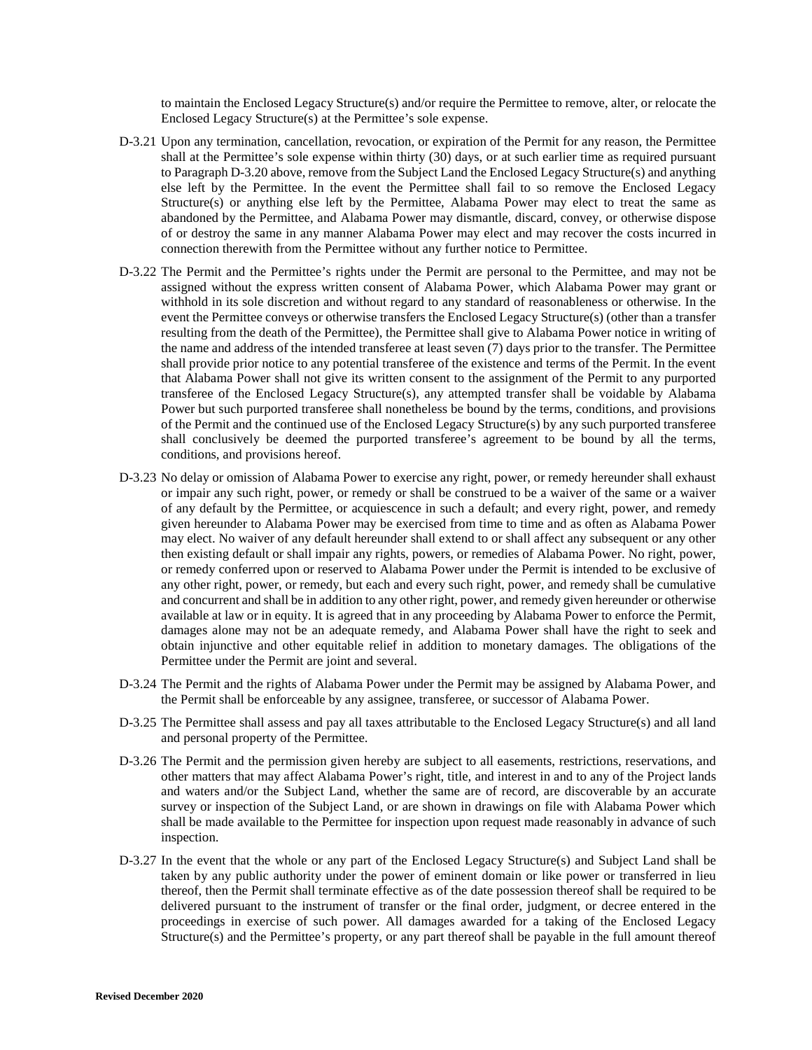to maintain the Enclosed Legacy Structure(s) and/or require the Permittee to remove, alter, or relocate the Enclosed Legacy Structure(s) at the Permittee's sole expense.

- D-3.21 Upon any termination, cancellation, revocation, or expiration of the Permit for any reason, the Permittee shall at the Permittee's sole expense within thirty (30) days, or at such earlier time as required pursuant to Paragraph D-3.20 above, remove from the Subject Land the Enclosed Legacy Structure(s) and anything else left by the Permittee. In the event the Permittee shall fail to so remove the Enclosed Legacy Structure(s) or anything else left by the Permittee, Alabama Power may elect to treat the same as abandoned by the Permittee, and Alabama Power may dismantle, discard, convey, or otherwise dispose of or destroy the same in any manner Alabama Power may elect and may recover the costs incurred in connection therewith from the Permittee without any further notice to Permittee.
- D-3.22 The Permit and the Permittee's rights under the Permit are personal to the Permittee, and may not be assigned without the express written consent of Alabama Power, which Alabama Power may grant or withhold in its sole discretion and without regard to any standard of reasonableness or otherwise. In the event the Permittee conveys or otherwise transfers the Enclosed Legacy Structure(s) (other than a transfer resulting from the death of the Permittee), the Permittee shall give to Alabama Power notice in writing of the name and address of the intended transferee at least seven (7) days prior to the transfer. The Permittee shall provide prior notice to any potential transferee of the existence and terms of the Permit. In the event that Alabama Power shall not give its written consent to the assignment of the Permit to any purported transferee of the Enclosed Legacy Structure(s), any attempted transfer shall be voidable by Alabama Power but such purported transferee shall nonetheless be bound by the terms, conditions, and provisions of the Permit and the continued use of the Enclosed Legacy Structure(s) by any such purported transferee shall conclusively be deemed the purported transferee's agreement to be bound by all the terms, conditions, and provisions hereof.
- D-3.23 No delay or omission of Alabama Power to exercise any right, power, or remedy hereunder shall exhaust or impair any such right, power, or remedy or shall be construed to be a waiver of the same or a waiver of any default by the Permittee, or acquiescence in such a default; and every right, power, and remedy given hereunder to Alabama Power may be exercised from time to time and as often as Alabama Power may elect. No waiver of any default hereunder shall extend to or shall affect any subsequent or any other then existing default or shall impair any rights, powers, or remedies of Alabama Power. No right, power, or remedy conferred upon or reserved to Alabama Power under the Permit is intended to be exclusive of any other right, power, or remedy, but each and every such right, power, and remedy shall be cumulative and concurrent and shall be in addition to any other right, power, and remedy given hereunder or otherwise available at law or in equity. It is agreed that in any proceeding by Alabama Power to enforce the Permit, damages alone may not be an adequate remedy, and Alabama Power shall have the right to seek and obtain injunctive and other equitable relief in addition to monetary damages. The obligations of the Permittee under the Permit are joint and several.
- D-3.24 The Permit and the rights of Alabama Power under the Permit may be assigned by Alabama Power, and the Permit shall be enforceable by any assignee, transferee, or successor of Alabama Power.
- D-3.25 The Permittee shall assess and pay all taxes attributable to the Enclosed Legacy Structure(s) and all land and personal property of the Permittee.
- D-3.26 The Permit and the permission given hereby are subject to all easements, restrictions, reservations, and other matters that may affect Alabama Power's right, title, and interest in and to any of the Project lands and waters and/or the Subject Land, whether the same are of record, are discoverable by an accurate survey or inspection of the Subject Land, or are shown in drawings on file with Alabama Power which shall be made available to the Permittee for inspection upon request made reasonably in advance of such inspection.
- D-3.27 In the event that the whole or any part of the Enclosed Legacy Structure(s) and Subject Land shall be taken by any public authority under the power of eminent domain or like power or transferred in lieu thereof, then the Permit shall terminate effective as of the date possession thereof shall be required to be delivered pursuant to the instrument of transfer or the final order, judgment, or decree entered in the proceedings in exercise of such power. All damages awarded for a taking of the Enclosed Legacy Structure(s) and the Permittee's property, or any part thereof shall be payable in the full amount thereof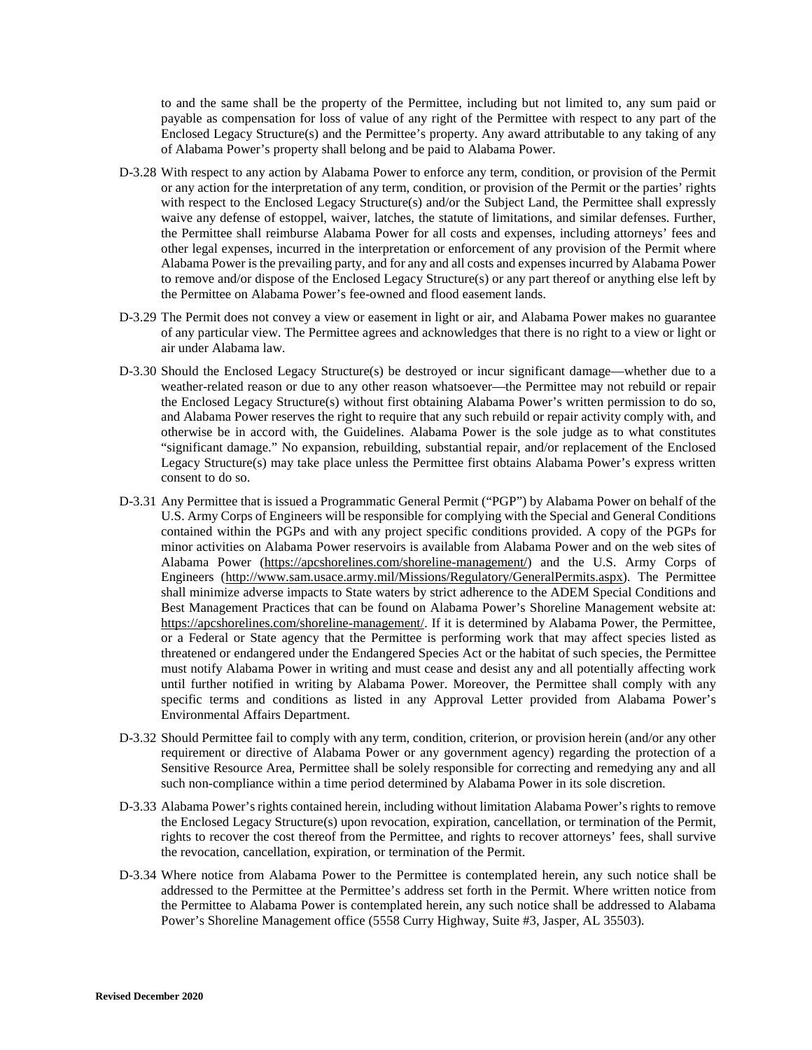to and the same shall be the property of the Permittee, including but not limited to, any sum paid or payable as compensation for loss of value of any right of the Permittee with respect to any part of the Enclosed Legacy Structure(s) and the Permittee's property. Any award attributable to any taking of any of Alabama Power's property shall belong and be paid to Alabama Power.

- D-3.28 With respect to any action by Alabama Power to enforce any term, condition, or provision of the Permit or any action for the interpretation of any term, condition, or provision of the Permit or the parties' rights with respect to the Enclosed Legacy Structure(s) and/or the Subject Land, the Permittee shall expressly waive any defense of estoppel, waiver, latches, the statute of limitations, and similar defenses. Further, the Permittee shall reimburse Alabama Power for all costs and expenses, including attorneys' fees and other legal expenses, incurred in the interpretation or enforcement of any provision of the Permit where Alabama Power is the prevailing party, and for any and all costs and expenses incurred by Alabama Power to remove and/or dispose of the Enclosed Legacy Structure(s) or any part thereof or anything else left by the Permittee on Alabama Power's fee-owned and flood easement lands.
- D-3.29 The Permit does not convey a view or easement in light or air, and Alabama Power makes no guarantee of any particular view. The Permittee agrees and acknowledges that there is no right to a view or light or air under Alabama law.
- D-3.30 Should the Enclosed Legacy Structure(s) be destroyed or incur significant damage—whether due to a weather-related reason or due to any other reason whatsoever—the Permittee may not rebuild or repair the Enclosed Legacy Structure(s) without first obtaining Alabama Power's written permission to do so, and Alabama Power reserves the right to require that any such rebuild or repair activity comply with, and otherwise be in accord with, the Guidelines. Alabama Power is the sole judge as to what constitutes "significant damage." No expansion, rebuilding, substantial repair, and/or replacement of the Enclosed Legacy Structure(s) may take place unless the Permittee first obtains Alabama Power's express written consent to do so.
- D-3.31 Any Permittee that is issued a Programmatic General Permit ("PGP") by Alabama Power on behalf of the U.S. Army Corps of Engineers will be responsible for complying with the Special and General Conditions contained within the PGPs and with any project specific conditions provided. A copy of the PGPs for minor activities on Alabama Power reservoirs is available from Alabama Power and on the web sites of Alabama Power (https://apcshorelines.com/shoreline-management/) and the U.S. Army Corps of Engineers (http://www.sam.usace.army.mil/Missions/Regulatory/GeneralPermits.aspx). The Permittee shall minimize adverse impacts to State waters by strict adherence to the ADEM Special Conditions and Best Management Practices that can be found on Alabama Power's Shoreline Management website at: https://apcshorelines.com/shoreline-management/. If it is determined by Alabama Power, the Permittee, or a Federal or State agency that the Permittee is performing work that may affect species listed as threatened or endangered under the Endangered Species Act or the habitat of such species, the Permittee must notify Alabama Power in writing and must cease and desist any and all potentially affecting work until further notified in writing by Alabama Power. Moreover, the Permittee shall comply with any specific terms and conditions as listed in any Approval Letter provided from Alabama Power's Environmental Affairs Department.
- D-3.32 Should Permittee fail to comply with any term, condition, criterion, or provision herein (and/or any other requirement or directive of Alabama Power or any government agency) regarding the protection of a Sensitive Resource Area, Permittee shall be solely responsible for correcting and remedying any and all such non-compliance within a time period determined by Alabama Power in its sole discretion.
- D-3.33 Alabama Power's rights contained herein, including without limitation Alabama Power's rights to remove the Enclosed Legacy Structure(s) upon revocation, expiration, cancellation, or termination of the Permit, rights to recover the cost thereof from the Permittee, and rights to recover attorneys' fees, shall survive the revocation, cancellation, expiration, or termination of the Permit.
- D-3.34 Where notice from Alabama Power to the Permittee is contemplated herein, any such notice shall be addressed to the Permittee at the Permittee's address set forth in the Permit. Where written notice from the Permittee to Alabama Power is contemplated herein, any such notice shall be addressed to Alabama Power's Shoreline Management office (5558 Curry Highway, Suite #3, Jasper, AL 35503).